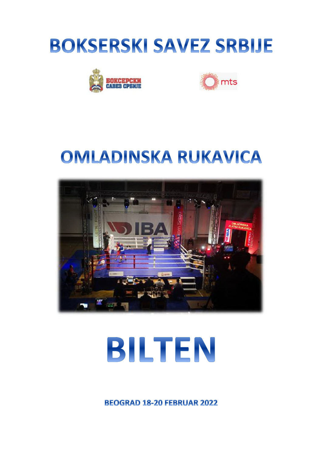





## **OMLADINSKA RUKAVICA**



# BILTEN

**BEOGRAD 18-20 FEBRUAR 2022**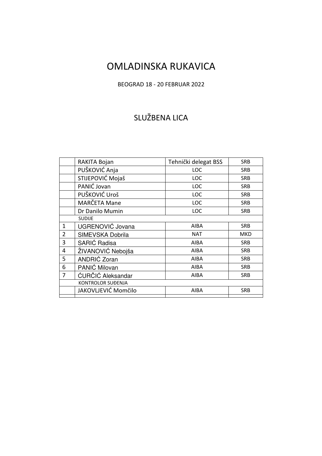## OMLADINSKA RUKAVICA

## BEOGRAD 18 - 20 FEBRUAR 2022

## SLUŽBENA LICA

|                | RAKITA Bojan        | Tehnički delegat BSS | <b>SRB</b> |
|----------------|---------------------|----------------------|------------|
|                | PUŠKOVIĆ Anja       | LOC                  | <b>SRB</b> |
|                | STIJEPOVIĆ Mojaš    | LOC                  | <b>SRB</b> |
|                | PANIĆ Jovan         | <b>LOC</b>           | <b>SRB</b> |
|                | PUŠKOVIĆ Uroš       | <b>LOC</b>           | <b>SRB</b> |
|                | MARČETA Mane        | LOC                  | <b>SRB</b> |
|                | Dr Danilo Mumin     | LOC                  | <b>SRB</b> |
|                | <b>SUDIJE</b>       |                      |            |
| $\mathbf{1}$   | UGRENOVIĆ Jovana    | <b>AIBA</b>          | <b>SRB</b> |
| $\overline{2}$ | SIMEVSKA Dobrila    | <b>NAT</b>           | <b>MKD</b> |
| 3              | SARIĆ Radisa        | <b>AIBA</b>          | <b>SRB</b> |
| 4              | ŽIVANOVIĆ Nebojša   | <b>AIBA</b>          | <b>SRB</b> |
| 5              | ANDRIĆ Zoran        | <b>AIBA</b>          | <b>SRB</b> |
| 6              | PANIĆ Milovan       | <b>AIBA</b>          | <b>SRB</b> |
| 7              | ĆURČIĆ Aleksandar   | <b>AIBA</b>          | <b>SRB</b> |
|                | KONTROLOR SUĐENJA   |                      |            |
|                | JAKOVLJEVIĆ Momčilo | <b>AIBA</b>          | <b>SRB</b> |
|                |                     |                      |            |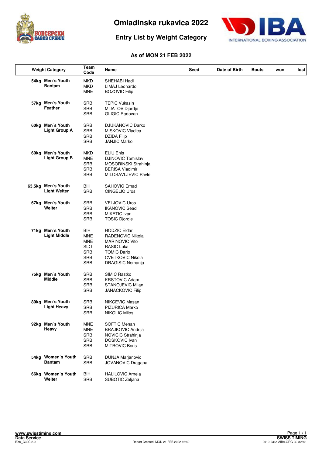

**Entry List by Weight Category**



| <b>Weight Category</b>                    | Team<br>Code                                                                                   | Name                                                                                                                                                | Seed | Date of Birth | <b>Bouts</b> | won | lost |
|-------------------------------------------|------------------------------------------------------------------------------------------------|-----------------------------------------------------------------------------------------------------------------------------------------------------|------|---------------|--------------|-----|------|
| 54kg Men's Youth<br><b>Bantam</b>         | MKD<br><b>MKD</b><br><b>MNE</b>                                                                | SHEHABI Hadi<br>LIMAJ Leonardo<br><b>BOZOVIC Filip</b>                                                                                              |      |               |              |     |      |
| 57kg Men's Youth<br>Feather               | <b>SRB</b><br><b>SRB</b><br><b>SRB</b>                                                         | <b>TEPIC Vukasin</b><br>MIJATOV Djordje<br><b>GLIGIC Radovan</b>                                                                                    |      |               |              |     |      |
| 60kg Men's Youth<br><b>Light Group A</b>  | <b>SRB</b><br><b>SRB</b><br><b>SRB</b><br><b>SRB</b>                                           | <b>DJUKANOVIC Darko</b><br>MISKOVIC Vladica<br><b>DZIDA Filip</b><br><b>JANJIC Marko</b>                                                            |      |               |              |     |      |
| 60kg Men's Youth<br><b>Light Group B</b>  | MKD<br><b>MNE</b><br><b>SRB</b><br><b>SRB</b><br><b>SRB</b>                                    | <b>ELIU Enis</b><br><b>DJINOVIC Tomislav</b><br>MOSORINSKI Strahinja<br><b>BERISA Vladimir</b><br>MILOSAVLJEVIC Pavle                               |      |               |              |     |      |
| 63.5kg Men's Youth<br><b>Light Welter</b> | BIH<br><b>SRB</b>                                                                              | <b>SAHOVIC Ernad</b><br><b>CINGELIC Uros</b>                                                                                                        |      |               |              |     |      |
| 67kg Men's Youth<br>Welter                | <b>SRB</b><br><b>SRB</b><br><b>SRB</b><br><b>SRB</b>                                           | <b>VELJOVIC Uros</b><br><b>IKANOVIC Sead</b><br>MIKETIC Ivan<br><b>TOSIC Djordje</b>                                                                |      |               |              |     |      |
| 71kg Men's Youth<br><b>Light Middle</b>   | <b>BIH</b><br><b>MNE</b><br><b>MNE</b><br><b>SLO</b><br><b>SRB</b><br><b>SRB</b><br><b>SRB</b> | <b>HODZIC Eldar</b><br>RADENOVIC Nikola<br><b>MARINOVIC Vito</b><br>RASIC Luka<br><b>TOMIC Dario</b><br><b>CVETKOVIC Nikola</b><br>DRAGISIC Nemanja |      |               |              |     |      |
| 75kg Men's Youth<br><b>Middle</b>         | <b>SRB</b><br><b>SRB</b><br><b>SRB</b><br><b>SRB</b>                                           | <b>SIMIC Rastko</b><br><b>KRSTOVIC Adam</b><br>STANOJEVIC Milan<br><b>JANACKOVIC Filip</b>                                                          |      |               |              |     |      |
| 80kg Men's Youth<br><b>Light Heavy</b>    | <b>SRB</b><br><b>SRB</b><br><b>SRB</b>                                                         | NIKCEVIC Masan<br>PIZURICA Marko<br><b>NIKOLIC Milos</b>                                                                                            |      |               |              |     |      |
| 92kg Men's Youth<br>Heavy                 | <b>MNE</b><br><b>MNE</b><br><b>SRB</b><br><b>SRB</b><br><b>SRB</b>                             | SOFTIC Menan<br><b>BRAJKOVIC Andrija</b><br>NOVICIC Strahinja<br>DOSKOVIC Ivan<br><b>MITROVIC Boris</b>                                             |      |               |              |     |      |
| 54kg Women's Youth<br><b>Bantam</b>       | <b>SRB</b><br><b>SRB</b>                                                                       | <b>DUNJA Marjanovic</b><br>JOVANOVIC Dragana                                                                                                        |      |               |              |     |      |
| 66kg Women's Youth<br>Welter              | BIH<br><b>SRB</b>                                                                              | <b>HALILOVIC Arnela</b><br>SUBOTIC Zeljana                                                                                                          |      |               |              |     |      |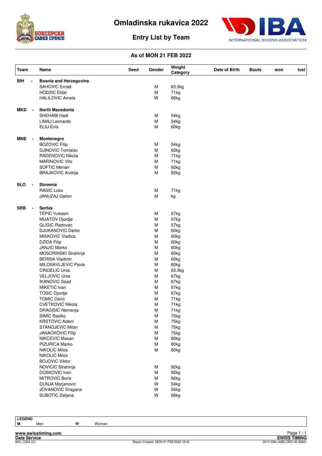



## **Entry List by Team**

## **As of MON 21 FEB 2022**

| Team       |                          | Name                          | Seed | Gender | Weight<br>Category | Date of Birth | <b>Bouts</b> | won | lost |
|------------|--------------------------|-------------------------------|------|--------|--------------------|---------------|--------------|-----|------|
| BIH        | ÷,                       | <b>Bosnia and Herzegovina</b> |      |        |                    |               |              |     |      |
|            |                          | SAHOVIC Ernad                 |      | M      | 63.5kg             |               |              |     |      |
|            |                          | <b>HODZIC Eldar</b>           |      | M      | 71kg               |               |              |     |      |
|            |                          | <b>HALILOVIC Arnela</b>       |      | W      | 66kg               |               |              |     |      |
| <b>MKD</b> | $\overline{\phantom{a}}$ | North Macedonia               |      |        |                    |               |              |     |      |
|            |                          | SHEHABI Hadi                  |      | М      | 54kg               |               |              |     |      |
|            |                          | LIMAJ Leonardo                |      | M      | 54kg               |               |              |     |      |
|            |                          | ELIU Enis                     |      | М      | 60kg               |               |              |     |      |
|            |                          |                               |      |        |                    |               |              |     |      |
| <b>MNE</b> | $\blacksquare$           | Montenegro                    |      |        |                    |               |              |     |      |
|            |                          | <b>BOZOVIC Filip</b>          |      | М      | 54kg               |               |              |     |      |
|            |                          | <b>DJINOVIC Tomislav</b>      |      | M      | 60kg               |               |              |     |      |
|            |                          | <b>RADENOVIC Nikola</b>       |      | M      | 71kg               |               |              |     |      |
|            |                          | <b>MARINOVIC Vito</b>         |      | M      | 71kg               |               |              |     |      |
|            |                          | SOFTIC Menan                  |      | M      | 92kg               |               |              |     |      |
|            |                          | <b>BRAJKOVIC Andrija</b>      |      | M      | 92kg               |               |              |     |      |
| <b>SLO</b> |                          | Slovenia                      |      |        |                    |               |              |     |      |
|            |                          | <b>RASIC Luka</b>             |      | М      | 71kg               |               |              |     |      |
|            |                          | JANUZAJ Djelon                |      | M      | kg                 |               |              |     |      |
| <b>SRB</b> | $\blacksquare$           | Serbia                        |      |        |                    |               |              |     |      |
|            |                          | <b>TEPIC Vukasin</b>          |      | М      | 57kg               |               |              |     |      |
|            |                          |                               |      | М      | 57kg               |               |              |     |      |
|            |                          | <b>MIJATOV Djordje</b>        |      |        |                    |               |              |     |      |
|            |                          | <b>GLIGIC Radovan</b>         |      | M      | 57kg               |               |              |     |      |
|            |                          | <b>DJUKANOVIC Darko</b>       |      | M      | 60kg               |               |              |     |      |
|            |                          | MISKOVIC Vladica              |      | M      | 60kg               |               |              |     |      |
|            |                          | DZIDA Filip                   |      | M      | 60kg               |               |              |     |      |
|            |                          | <b>JANJIC Marko</b>           |      | M      | 60kg               |               |              |     |      |
|            |                          | MOSORINSKI Strahinja          |      | M      | 60kg               |               |              |     |      |
|            |                          | <b>BERISA Vladimir</b>        |      | M      | 60kg               |               |              |     |      |
|            |                          | MILOSAVLJEVIC Pavle           |      | M      | 60kg               |               |              |     |      |
|            |                          | <b>CINGELIC Uros</b>          |      | M      | 63.5kg             |               |              |     |      |
|            |                          | <b>VELJOVIC Uros</b>          |      | M      | 67kg               |               |              |     |      |
|            |                          | <b>IKANOVIC Sead</b>          |      | M      | 67kg               |               |              |     |      |
|            |                          | MIKETIC Ivan                  |      | М      | 67kg               |               |              |     |      |
|            |                          | <b>TOSIC Djordje</b>          |      | M      | 67kg               |               |              |     |      |
|            |                          | <b>TOMIC Dario</b>            |      | M      | 71kg               |               |              |     |      |
|            |                          | <b>CVETKOVIC Nikola</b>       |      | M      | 71kg               |               |              |     |      |
|            |                          | <b>DRAGISIC Nemanja</b>       |      | М      | 71kg               |               |              |     |      |
|            |                          | SIMIC Rastko                  |      | M      | 75kg               |               |              |     |      |
|            |                          | <b>KRSTOVIC Adam</b>          |      | М      | 75kg               |               |              |     |      |
|            |                          | STANOJEVIC Milan              |      | M      | 75kg               |               |              |     |      |
|            |                          | <b>JANACKOVIC Filip</b>       |      | М      | 75kg               |               |              |     |      |
|            |                          | NIKCEVIC Masan                |      | M      |                    |               |              |     |      |
|            |                          |                               |      |        | 80kg               |               |              |     |      |
|            |                          | PIZURICA Marko                |      | М      | 80kg               |               |              |     |      |
|            |                          | <b>NIKOLIC Milos</b>          |      | M      | 80kg               |               |              |     |      |
|            |                          | <b>NIKOLIC Milos</b>          |      |        |                    |               |              |     |      |
|            |                          | <b>BOJOVIC Viktor</b>         |      |        |                    |               |              |     |      |
|            |                          | NOVICIC Strahinja             |      | М      | 92kg               |               |              |     |      |
|            |                          | DOSKOVIC Ivan                 |      | M      | 92kg               |               |              |     |      |
|            |                          | <b>MITROVIC Boris</b>         |      | М      | 92kg               |               |              |     |      |
|            |                          | <b>DUNJA Marjanovic</b>       |      | W      | 54kg               |               |              |     |      |
|            |                          | JOVANOVIC Dragana             |      | W      | 54kg               |               |              |     |      |
|            |                          | SUBOTIC Zeljana               |      | W      | 66kg               |               |              |     |      |
|            |                          |                               |      |        |                    |               |              |     |      |

**LEGEND**

**M** Men **W** Women

**www.swisstiming.com**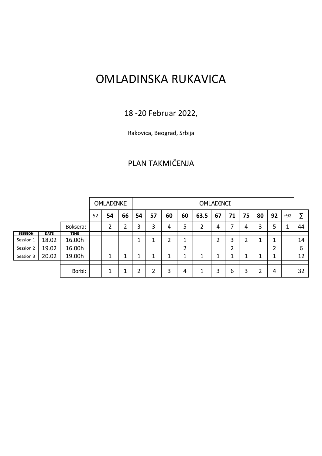## OMLADINSKA RUKAVICA

## 18 -20 Februar 2022,

Rakovica, Beograd, Srbija

## PLAN TAKMIČENJA

|                |             |             |    | <b>OMLADINKE</b> |        | <b>OMLADINCI</b> |    |        |    |      |        |    |    |    |                |        |    |
|----------------|-------------|-------------|----|------------------|--------|------------------|----|--------|----|------|--------|----|----|----|----------------|--------|----|
|                |             |             | 52 | 54               | 66     | 54               | 57 | 60     | 60 | 63.5 | 67     | 71 | 75 | 80 | 92             | $+92$  | Σ  |
|                |             | Boksera:    |    | 2                | າ<br>∠ | 3                | 3  | 4      | 5  |      | 4      | 7  | 4  | 3  | 5              | 1<br>┸ | 44 |
| <b>SESSION</b> | <b>DATE</b> | <b>TIME</b> |    |                  |        |                  |    |        |    |      |        |    |    |    |                |        |    |
| Session 1      | 18.02       | 16.00h      |    |                  |        | ┻                | и  | ำ<br>৴ | ┚  |      | າ<br>∠ | 3  | ำ  |    | 1<br>┸         |        | 14 |
| Session 2      | 19.02       | 16.00h      |    |                  |        |                  |    |        | 2  |      |        | 2  |    |    | $\overline{2}$ |        | 6  |
| Session 3      | 20.02       | 19.00h      |    | ┻                | ◢      |                  | и  |        |    | 4    | л      |    | 4  | и  | 1<br>┸         |        | 12 |
|                |             |             |    |                  |        |                  |    |        |    |      |        |    |    |    |                |        |    |
|                |             | Borbi:      |    | 1<br>J.          | л      |                  | 2  | 3      | 4  | 1    | 3      | 6  | 3  | 2  | 4              |        | 32 |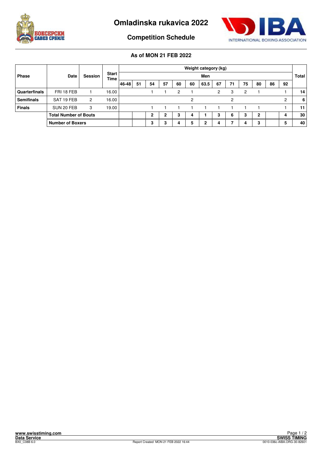



**Competition Schedule**

|                      |                              |         | <b>Start</b><br><b>Time</b> |       | Weight category (kg)<br>Men |              |                |    |    |      |    |    | <b>Total</b> |    |    |    |                 |
|----------------------|------------------------------|---------|-----------------------------|-------|-----------------------------|--------------|----------------|----|----|------|----|----|--------------|----|----|----|-----------------|
| <b>Phase</b>         | Date                         | Session |                             |       |                             |              |                |    |    |      |    |    |              |    |    |    |                 |
|                      |                              |         |                             | 46-48 | 51                          | 54           | 57             | 60 | 60 | 63.5 | 67 | 71 | 75           | 80 | 86 | 92 |                 |
| <b>Quarterfinals</b> | FRI 18 FEB                   |         | 16.00                       |       |                             |              |                | 2  |    |      | 2  | 3  | 2            |    |    |    | 14 <sup>1</sup> |
| <b>Semifinals</b>    | SAT 19 FEB                   | 2       | 16.00                       |       |                             |              |                |    | 2  |      |    | 2  |              |    |    | ົ  | 6               |
| <b>Finals</b>        | SUN 20 FEB                   | 3       | 19.00                       |       |                             |              |                |    |    |      |    |    |              |    |    |    | 11 <sup>1</sup> |
|                      | <b>Total Number of Bouts</b> |         |                             |       |                             | $\mathbf{2}$ | $\overline{2}$ | 3  | 4  |      | 3  | 6  | 3            | 2  |    |    | 30 <sub>1</sub> |
|                      | <b>Number of Boxers</b>      |         |                             |       |                             | 3            | 3              | 4  | 5  |      | 4  |    |              | 3  |    |    | 40              |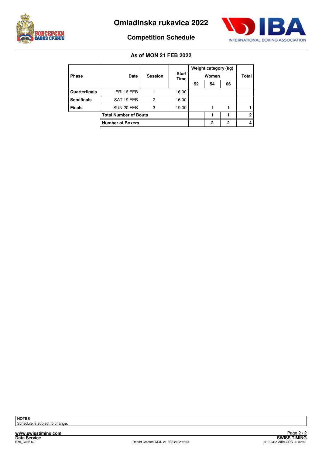



## **Competition Schedule**

#### **As of MON 21 FEB 2022**

|                   |                              |                |                      |    | Weight category (kg) |              |              |
|-------------------|------------------------------|----------------|----------------------|----|----------------------|--------------|--------------|
| <b>Phase</b>      | Date                         | <b>Session</b> | <b>Start</b><br>Time |    | Total                |              |              |
|                   |                              |                |                      | 52 | 54                   | 66           |              |
| Quarterfinals     | FRI 18 FEB                   |                | 16.00                |    |                      |              |              |
| <b>Semifinals</b> | SAT 19 FEB                   | 2              | 16.00                |    |                      |              |              |
| <b>Finals</b>     | SUN 20 FEB                   | 3              | 19.00                |    |                      |              |              |
|                   | <b>Total Number of Bouts</b> |                |                      |    |                      |              | $\mathbf{2}$ |
|                   | <b>Number of Boxers</b>      |                |                      |    | $\mathbf{2}$         | $\mathbf{2}$ | 4            |

**NOTES** Schedule is subject to change.

**www.swisstiming.com**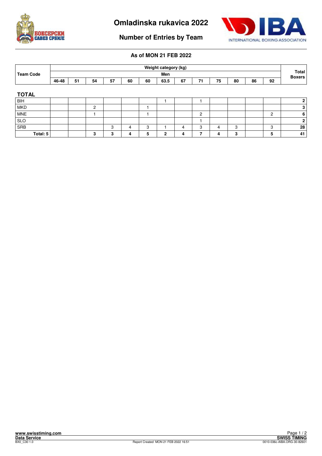



**Number of Entries by Team**

|                  |       |    |                |    |    |    | Weight category (kg) |    |                |    |    |                        |                |                |
|------------------|-------|----|----------------|----|----|----|----------------------|----|----------------|----|----|------------------------|----------------|----------------|
| <b>Team Code</b> | Men   |    |                |    |    |    |                      |    |                |    |    | Total<br><b>Boxers</b> |                |                |
|                  | 46-48 | 51 | 54             | 57 | 60 | 60 | 63.5                 | 67 | 71             | 75 | 80 | 86                     | 92             |                |
|                  |       |    |                |    |    |    |                      |    |                |    |    |                        |                |                |
| <b>TOTAL</b>     |       |    |                |    |    |    |                      |    |                |    |    |                        |                |                |
| <b>BIH</b>       |       |    |                |    |    |    |                      |    |                |    |    |                        |                | 2 <sup>1</sup> |
| <b>MKD</b>       |       |    | $\overline{2}$ |    |    |    |                      |    |                |    |    |                        |                | 3 <sup>1</sup> |
| <b>MNE</b>       |       |    |                |    |    |    |                      |    | $\overline{c}$ |    |    |                        | $\overline{c}$ | $6 \mid$       |
| <b>SLO</b>       |       |    |                |    |    |    |                      |    |                |    |    |                        |                | 2 <sup>1</sup> |
| SRB              |       |    |                | 3  | 4  | 3  |                      | 4  | 3              | 4  | 3  |                        | 3              | 28             |
| Total: 5         |       |    | 3              | 3  | 4  | 5  | $\mathbf{2}$         | 4  | 7              | 4  | 3  |                        | 5              | 41             |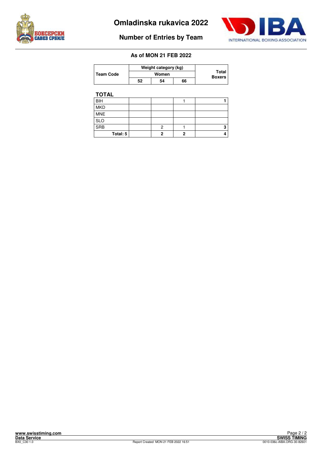



## **Number of Entries by Team**

## **As of MON 21 FEB 2022**

| <b>Team Code</b> | Weight category (kg) |                        |    |  |
|------------------|----------------------|------------------------|----|--|
|                  |                      | Total<br><b>Boxers</b> |    |  |
|                  | 52                   | 54                     | 66 |  |

## **TOTAL**

| BIH        |  |   |
|------------|--|---|
| MKD        |  |   |
| MNE        |  |   |
| <b>SLO</b> |  |   |
| SRB        |  | 3 |
| Total: 5   |  |   |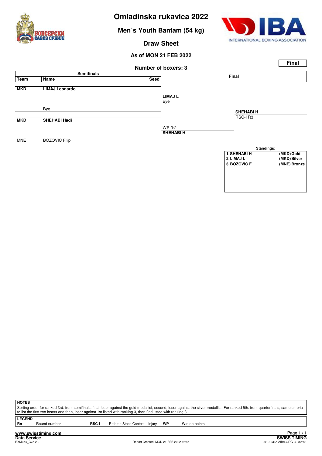

**Men`s Youth Bantam (54 kg)**



**Draw Sheet**

#### **As of MON 21 FEB 2022**



| NOTES             |
|-------------------|
| Sorting order for |

for ranked 3rd: from semifinals, first, loser against the gold medallist, second, loser against the silver medallist. For ranked 5th: from quarterfinals, same criteria to list the first two losers and then, loser against 1st listed with ranking 3, then 2nd listed with ranking 3.

**LEGEND**

Round number **RSC-I** Referee Stops Contest – Injury **WP** Win on points

**www.swisstiming.com Data Service SWISS TIMING**

1 / 1 Edge 1<br>SWISS TIMING<br>0010-036c-AIBA.ORG-30-82601 0010-036c-AIBA.ORG-30-82601 0010-036c-AIBA.ORG-30-82601 Page 1 / 1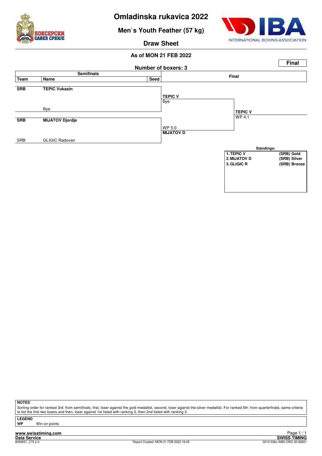

**Men`s Youth Feather (57 kg)**



**Draw Sheet**

## **As of MON 21 FEB 2022**



**NOTES**

Sorting order for ranked 3rd: from semifinals, first, loser against the gold medallist, second, loser against the silver medallist. For ranked 5th: from quarterfinals, same criteria to list the first two losers and then, loser against 1st listed with ranking 3, then 2nd listed with ranking 3.

**LEGEND**

**Win on points** 

**www.swisstiming.com Data Service SWISS TIMING**

<u>r aye 1/1</u><br>SWISS TIMING<br>0010-036c-AIBA.ORG-30-82601 0010-036c-AIBA.ORG-30-82601 0010-036c-AIBA.ORG-30-82601 Page 1 / 1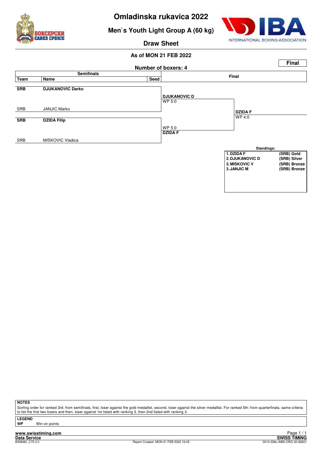

**Men`s Youth Light Group A (60 kg)**



**Draw Sheet**

## **As of MON 21 FEB 2022**



**NOTES**

Sorting order for ranked 3rd: from semifinals, first, loser against the gold medallist, second, loser against the silver medallist. For ranked 5th: from quarterfinals, same criteria to list the first two losers and then, loser against 1st listed with ranking 3, then 2nd listed with ranking 3.

**LEGEND**

**Win on points** 

**www.swisstiming.com**<br>Data Service<br>BXM060\_C75.2.0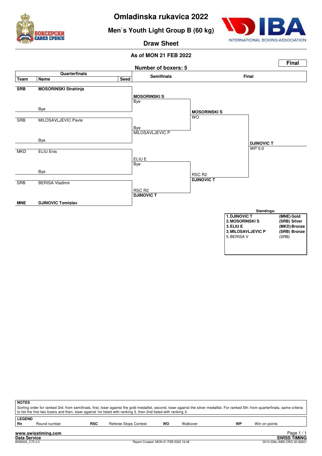

**Men`s Youth Light Group B (60 kg)**



**Draw Sheet**



| <b>NOTES</b>                                                                                                                                                                          |                                                                                                                 |            |                              |    |          |    |               |                      |  |
|---------------------------------------------------------------------------------------------------------------------------------------------------------------------------------------|-----------------------------------------------------------------------------------------------------------------|------------|------------------------------|----|----------|----|---------------|----------------------|--|
| Sorting order for ranked 3rd: from semifinals, first, loser against the gold medallist, second, loser against the silver medallist. For ranked 5th: from quarterfinals, same criteria |                                                                                                                 |            |                              |    |          |    |               |                      |  |
|                                                                                                                                                                                       | to list the first two losers and then, loser against 1st listed with ranking 3, then 2nd listed with ranking 3. |            |                              |    |          |    |               |                      |  |
| <b>LEGEND</b>                                                                                                                                                                         |                                                                                                                 |            |                              |    |          |    |               |                      |  |
| Rn                                                                                                                                                                                    | Round number                                                                                                    | <b>RSC</b> | <b>Referee Stops Contest</b> | WO | Walkover | WP | Win on points |                      |  |
|                                                                                                                                                                                       |                                                                                                                 |            |                              |    |          |    |               |                      |  |
|                                                                                                                                                                                       | www.swisstiming.com                                                                                             |            |                              |    |          |    |               | Page $1/1$           |  |
|                                                                                                                                                                                       | Dota Corvice                                                                                                    |            |                              |    |          |    |               | <b>CIMICC TIMING</b> |  |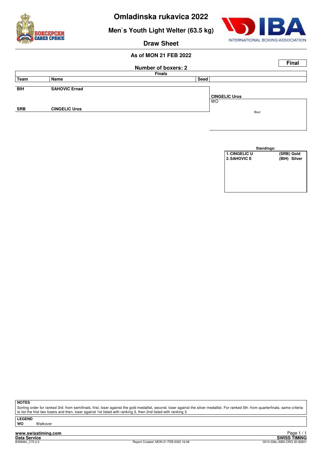

**Men`s Youth Light Welter (63.5 kg)**



**Draw Sheet**

## **As of MON 21 FEB 2022**

|            |                            |               | <b>Final</b>         |  |  |  |  |  |  |  |
|------------|----------------------------|---------------|----------------------|--|--|--|--|--|--|--|
|            | <b>Number of boxers: 2</b> |               |                      |  |  |  |  |  |  |  |
|            |                            | <b>Finals</b> |                      |  |  |  |  |  |  |  |
| Team       | Name                       | Seed          |                      |  |  |  |  |  |  |  |
| <b>BIH</b> | <b>SAHOVIC Ernad</b>       |               |                      |  |  |  |  |  |  |  |
|            |                            |               | <b>CINGELIC Uros</b> |  |  |  |  |  |  |  |
|            |                            |               | <b>WO</b>            |  |  |  |  |  |  |  |
| <b>SRB</b> | <b>CINGELIC Uros</b>       |               | Bout                 |  |  |  |  |  |  |  |
|            |                            |               |                      |  |  |  |  |  |  |  |
|            |                            |               |                      |  |  |  |  |  |  |  |

|                      | Standings:   |
|----------------------|--------------|
| <b>1. CINGELIC U</b> | (SRB) Gold   |
| 2. SAHOVIC E         | (BIH) Silver |
|                      |              |
|                      |              |
|                      |              |
|                      |              |
|                      |              |
|                      |              |

**NOTES**

Sorting order for ranked 3rd: from semifinals, first, loser against the gold medallist, second, loser against the silver medallist. For ranked 5th: from quarterfinals, same criteria to list the first two losers and then, loser against 1st listed with ranking 3, then 2nd listed with ranking 3.

**LEGEND Walkover** 

**www.swisstiming.com**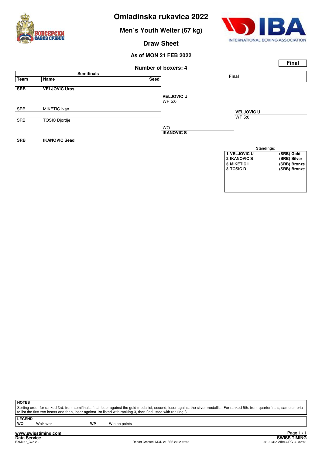

**Men`s Youth Welter (67 kg)**



**Draw Sheet**

## **As of MON 21 FEB 2022**



**NOTES**

Sorting order for ranked 3rd: from semifinals, first, loser against the gold medallist, second, loser against the silver medallist. For ranked 5th: from quarterfinals, same criteria to list the first two losers and then, loser against 1st listed with ranking 3, then 2nd listed with ranking 3.

**LEGEND**

Walkover **WP** Win on points

**www.swisstiming.com**<br>Data Service<br>BXM067 C7520

External of the SWISS TIMING<br>
D010-036c-AIBA.ORG-30-82601 Page 1 / 1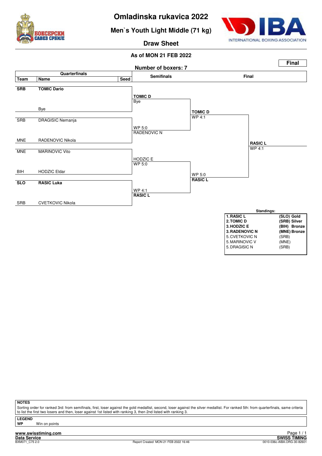

**Men`s Youth Light Middle (71 kg)**



**Draw Sheet**

## **As of MON 21 FEB 2022**



**NOTES**

Sorting order for ranked 3rd: from semifinals, first, loser against the gold medallist, second, loser against the silver medallist. For ranked 5th: from quarterfinals, same criteria to list the first two losers and then, loser against 1st listed with ranking 3, then 2nd listed with ranking 3

**LEGEND**

**Win on points** 

**www.swisstiming.com**

Tage 1/1<br>Data Service<br>BXM071\_C75 2.0 **SWISS TIMING**<br>BXM071\_C75 2.0 **SWISS TIMING** Page 1 / 1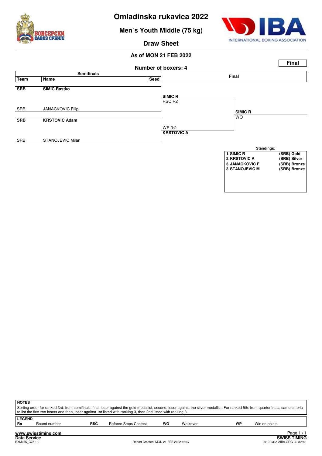

**Men`s Youth Middle (75 kg)**



**Draw Sheet**

#### **As of MON 21 FEB 2022**



| ∣ NOTES       |                                                                                                                                                                                       |            |                       |    |          |    |               |  |  |  |  |  |  |
|---------------|---------------------------------------------------------------------------------------------------------------------------------------------------------------------------------------|------------|-----------------------|----|----------|----|---------------|--|--|--|--|--|--|
|               | Sorting order for ranked 3rd: from semifinals, first, loser against the gold medallist, second, loser against the silver medallist. For ranked 5th: from quarterfinals, same criteria |            |                       |    |          |    |               |  |  |  |  |  |  |
|               | to list the first two losers and then, loser against 1st listed with ranking 3, then 2nd listed with ranking 3.                                                                       |            |                       |    |          |    |               |  |  |  |  |  |  |
| <b>LEGEND</b> |                                                                                                                                                                                       |            |                       |    |          |    |               |  |  |  |  |  |  |
| l Rn          | Round number                                                                                                                                                                          | <b>RSC</b> | Referee Stops Contest | WO | Walkover | WP | Win on points |  |  |  |  |  |  |
|               |                                                                                                                                                                                       |            |                       |    |          |    |               |  |  |  |  |  |  |

External of the SWISS TIMING<br>
D010-036c-AIBA.ORG-30-82601

Page 1 / 1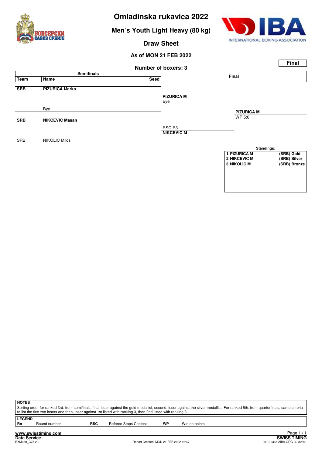

**Men`s Youth Light Heavy (80 kg)**



**Draw Sheet**



| <b>NOTES</b>  |                                                                                                                                                                                                                                                                                                          |            |                       |    |               |  |  |  |  |  |  |  |
|---------------|----------------------------------------------------------------------------------------------------------------------------------------------------------------------------------------------------------------------------------------------------------------------------------------------------------|------------|-----------------------|----|---------------|--|--|--|--|--|--|--|
|               | Sorting order for ranked 3rd: from semifinals, first, loser against the gold medallist, second, loser against the silver medallist. For ranked 5th: from quarterfinals, same criteria<br>to list the first two losers and then, loser against 1st listed with ranking 3, then 2nd listed with ranking 3. |            |                       |    |               |  |  |  |  |  |  |  |
| <b>LEGEND</b> |                                                                                                                                                                                                                                                                                                          |            |                       |    |               |  |  |  |  |  |  |  |
| Rn            | Round number                                                                                                                                                                                                                                                                                             | <b>RSC</b> | Referee Stops Contest | WP | Win on points |  |  |  |  |  |  |  |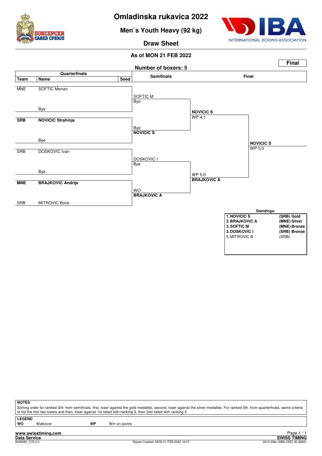

**Men`s Youth Heavy (92 kg)**



**Draw Sheet**

**As of MON 21 FEB 2022**



| <b>NOTES</b>                                                                                                                                                                                                                                                                                             |  |
|----------------------------------------------------------------------------------------------------------------------------------------------------------------------------------------------------------------------------------------------------------------------------------------------------------|--|
| Sorting order for ranked 3rd: from semifinals, first, loser against the gold medallist, second, loser against the silver medallist. For ranked 5th: from quarterfinals, same criteria<br>to list the first two losers and then, loser against 1st listed with ranking 3, then 2nd listed with ranking 3. |  |
| <b>LEGEND</b>                                                                                                                                                                                                                                                                                            |  |

**LEG**<br>WO

Walkover **WP** Win on points

**www.swisstiming.com**<br>Data Service<br>BXM092 C7520

**Data SWISS TIMING**<br> **DO10-036c-AIBA.ORG-30.00001** Page 1 / 1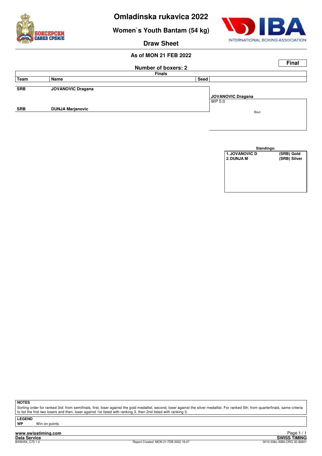

**Women`s Youth Bantam (54 kg)**



**Draw Sheet**

## **As of MON 21 FEB 2022**

|            |                            |               | <b>Final</b>      |  |  |  |  |  |  |
|------------|----------------------------|---------------|-------------------|--|--|--|--|--|--|
|            | <b>Number of boxers: 2</b> |               |                   |  |  |  |  |  |  |
|            |                            | <b>Finals</b> |                   |  |  |  |  |  |  |
| Team       | Name                       | Seed          |                   |  |  |  |  |  |  |
|            |                            |               |                   |  |  |  |  |  |  |
| <b>SRB</b> | <b>JOVANOVIC Dragana</b>   |               |                   |  |  |  |  |  |  |
|            |                            |               | JOVANOVIC Dragana |  |  |  |  |  |  |
|            |                            |               | WP 5:0            |  |  |  |  |  |  |
| <b>SRB</b> | <b>DUNJA Marjanovic</b>    |               |                   |  |  |  |  |  |  |
|            |                            |               | Bout              |  |  |  |  |  |  |
|            |                            |               |                   |  |  |  |  |  |  |

| Standings:            |              |  |  |  |  |  |  |  |  |  |
|-----------------------|--------------|--|--|--|--|--|--|--|--|--|
| <b>1. JOVANOVIC D</b> | (SRB) Gold   |  |  |  |  |  |  |  |  |  |
| 2. DUNJA M            | (SRB) Silver |  |  |  |  |  |  |  |  |  |
|                       |              |  |  |  |  |  |  |  |  |  |
|                       |              |  |  |  |  |  |  |  |  |  |
|                       |              |  |  |  |  |  |  |  |  |  |
|                       |              |  |  |  |  |  |  |  |  |  |
|                       |              |  |  |  |  |  |  |  |  |  |
|                       |              |  |  |  |  |  |  |  |  |  |

**NOTES**

Sorting order for ranked 3rd: from semifinals, first, loser against the gold medallist, second, loser against the silver medallist. For ranked 5th: from quarterfinals, same criteria to list the first two losers and then, loser against 1st listed with ranking 3, then 2nd listed with ranking 3.

**LEGEND**

**Win on points** 

**www.swisstiming.com Data Service SWISS TIMING**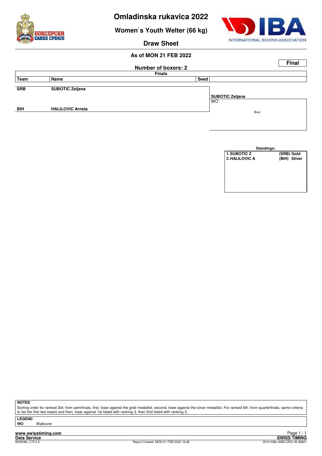

**Women`s Youth Welter (66 kg)**



**Draw Sheet**

## **As of MON 21 FEB 2022**

|            |                            |               |                        | <b>Final</b> |  |  |  |  |
|------------|----------------------------|---------------|------------------------|--------------|--|--|--|--|
|            | <b>Number of boxers: 2</b> |               |                        |              |  |  |  |  |
|            |                            | <b>Finals</b> |                        |              |  |  |  |  |
| Team       | Name                       | Seed          |                        |              |  |  |  |  |
|            |                            |               |                        |              |  |  |  |  |
| <b>SRB</b> | <b>SUBOTIC Zeljana</b>     |               |                        |              |  |  |  |  |
|            |                            |               | <b>SUBOTIC Zeljana</b> |              |  |  |  |  |
|            |                            |               | <b>WO</b>              |              |  |  |  |  |
| <b>BIH</b> | <b>HALILOVIC Arnela</b>    |               |                        |              |  |  |  |  |
|            |                            |               | Bout                   |              |  |  |  |  |
|            |                            |               |                        |              |  |  |  |  |

| Standings:     |              |
|----------------|--------------|
| 1. SUBOTIC Z   | (SRB) Gold   |
| 2. HALILOVIC A | (BIH) Silver |
|                |              |
|                |              |
|                |              |
|                |              |
|                |              |
|                |              |

**NOTES**

Sorting order for ranked 3rd: from semifinals, first, loser against the gold medallist, second, loser against the silver medallist. For ranked 5th: from quarterfinals, same criteria to list the first two losers and then, loser against 1st listed with ranking 3, then 2nd listed with ranking 3.

**LEGEND Walkover** 

**www.swisstiming.com**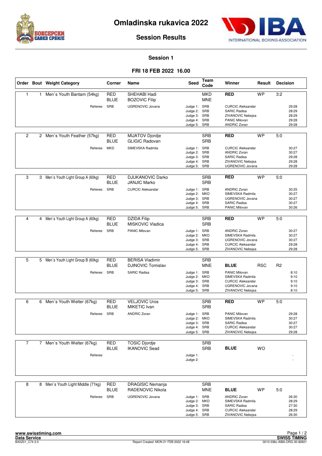



**Session Results**

#### **Session 1**

#### **FRI 18 FEB 2022 16.00**

|                |   | Order Bout Weight Category         | Corner                    | Name                                               | Seed                                                                         | Team<br>Code             | Winner                                                                                                            | Result     | <b>Decision</b> |                                           |
|----------------|---|------------------------------------|---------------------------|----------------------------------------------------|------------------------------------------------------------------------------|--------------------------|-------------------------------------------------------------------------------------------------------------------|------------|-----------------|-------------------------------------------|
| $\mathbf{1}$   |   | 1 Men's Youth Bantam (54kg)        | <b>RED</b><br><b>BLUE</b> | SHEHABI Hadi<br><b>BOZOVIC Filip</b>               |                                                                              | <b>MKD</b><br><b>MNE</b> | <b>RED</b>                                                                                                        | <b>WP</b>  | 3:2             |                                           |
|                |   | Referee: SRB                       |                           | <b>UGRENOVIC Jovana</b>                            | Judge 1: SRB<br>Judge 2: SRB<br>Judge 3: SRB<br>Judge 4: SRB<br>Judge 5: SRB |                          | <b>CURCIC Aleksandar</b><br><b>SARIC Radisa</b><br>ZIVANOVIC Nebojsa<br>PANIC Milovan<br><b>ANDRIC Zoran</b>      |            |                 | 29:28<br>28:29<br>28:29<br>29:28<br>29:28 |
| $\overline{c}$ |   | 2 Men's Youth Feather (57kg)       | <b>RED</b><br><b>BLUE</b> | <b>MIJATOV Djordje</b><br><b>GLIGIC Radovan</b>    |                                                                              | <b>SRB</b><br><b>SRB</b> | <b>RED</b>                                                                                                        | <b>WP</b>  | 5:0             |                                           |
|                |   | Referee: MKD                       |                           | SIMEVSKA Radmila                                   | Judge 1: SRB<br>Judge 2: SRB<br>Judge 3: SRB<br>Judge 4: SRB<br>Judge 5: SRB |                          | <b>CURCIC Aleksandar</b><br><b>ANDRIC Zoran</b><br><b>SARIC Radisa</b><br>ZIVANOVIC Nebojsa<br>UGRENOVIC Jovana   |            |                 | 30:27<br>30:27<br>29:28<br>29:28<br>29:28 |
| 3              |   | 3 Men's Youth Light Group A (60kg) | <b>RED</b><br>BLUE        | <b>DJUKANOVIC Darko</b><br><b>JANJIC Marko</b>     |                                                                              | <b>SRB</b><br><b>SRB</b> | <b>RED</b>                                                                                                        | <b>WP</b>  | 5:0             |                                           |
|                |   | Referee:                           | <b>SRB</b>                | <b>CURCIC Aleksandar</b>                           | Judge 1: SRB<br>Judge 2: MKD<br>Judge 3: SRB<br>Judge 4: SRB<br>Judge 5: SRB |                          | <b>ANDRIC Zoran</b><br>SIMEVSKA Radmila<br><b>UGRENOVIC Jovana</b><br><b>SARIC Radisa</b><br><b>PANIC Milovan</b> |            |                 | 30:25<br>30:27<br>30:27<br>30:27<br>30:26 |
|                |   |                                    |                           |                                                    |                                                                              |                          |                                                                                                                   |            |                 |                                           |
| 4              | 4 | Men's Youth Light Group A (60kg)   | <b>RED</b><br>BLUE        | <b>DZIDA Filip</b><br><b>MISKOVIC Vladica</b>      |                                                                              | <b>SRB</b><br><b>SRB</b> | <b>RED</b>                                                                                                        | <b>WP</b>  | 5:0             |                                           |
|                |   | Referee: SRB                       |                           | PANIC Milovan                                      | Judge 1: SRB<br>Judge 2: MKD<br>Judge 3: SRB<br>Judge 4: SRB<br>Judge 5: SRB |                          | <b>ANDRIC Zoran</b><br>SIMEVSKA Radmila<br>UGRENOVIC Jovana<br><b>CURCIC Aleksandar</b><br>ZIVANOVIC Nebojsa      |            |                 | 30:27<br>30:27<br>30:27<br>29:28<br>29:28 |
|                |   |                                    |                           |                                                    |                                                                              |                          |                                                                                                                   |            |                 |                                           |
| 5              |   | 5 Men's Youth Light Group B (60kg) | <b>RED</b><br>BLUE        | <b>BERISA Vladimir</b><br><b>DJINOVIC Tomislav</b> |                                                                              | <b>SRB</b><br><b>MNE</b> | <b>BLUE</b>                                                                                                       | <b>RSC</b> | R <sub>2</sub>  |                                           |
|                |   | Referee: SRB                       |                           | SARIC Radisa                                       | Judge 1: SRB<br>Judge 2: MKD<br>Judge 3: SRB<br>Judge 4: SRB<br>Judge 5: SRB |                          | PANIC Milovan<br>SIMEVSKA Radmila<br><b>CURCIC Aleksandar</b><br>UGRENOVIC Jovana<br>ZIVANOVIC Nebojsa            |            |                 | 8:10<br>9:10<br>9:10<br>9:10<br>8:10      |
| 6              |   | 6 Men's Youth Welter (67kg)        | <b>RED</b>                | <b>VELJOVIC Uros</b>                               |                                                                              | <b>SRB</b>               | <b>RED</b>                                                                                                        | <b>WP</b>  | 5:0             |                                           |
|                |   |                                    | BLUE                      | MIKETIC Ivan                                       |                                                                              | <b>SRB</b>               |                                                                                                                   |            |                 |                                           |
|                |   | Referee: SRB                       |                           | <b>ANDRIC Zoran</b>                                | Judge 1: SRB<br>Judge 2: MKD<br>Judge 3: SRB<br>Judge 4: SRB<br>Judge 5: SRB |                          | PANIC Milovan<br>SIMEVSKA Radmila<br><b>SARIC Radisa</b><br><b>CURCIC Aleksandar</b><br>ZIVANOVIC Nebojsa         |            |                 | 29:28<br>30:27<br>30:27<br>30:27<br>29:28 |
| $\overline{7}$ |   | 7 Men's Youth Welter (67kg)        | RED                       | <b>TOSIC Djordje</b>                               |                                                                              | <b>SRB</b>               |                                                                                                                   |            |                 |                                           |
|                |   | Referee:                           | <b>BLUE</b>               | <b>IKANOVIC Sead</b>                               | Judge 1:                                                                     | <b>SRB</b>               | <b>BLUE</b>                                                                                                       | <b>WO</b>  |                 |                                           |
|                |   |                                    |                           |                                                    | Judge 2:                                                                     |                          |                                                                                                                   |            |                 |                                           |
| 8              | 8 | Men's Youth Light Middle (71kg)    | <b>RED</b><br><b>BLUE</b> | <b>DRAGISIC Nemanja</b><br><b>RADENOVIC Nikola</b> |                                                                              | <b>SRB</b><br><b>MNE</b> | <b>BLUE</b>                                                                                                       | WP         | 5:0             |                                           |
|                |   | Referee: SRB                       |                           | UGRENOVIC Jovana                                   | Judge 1: SRB<br>Judge 2: MKD<br>Judge 3: SRB<br>Judge 4: SRB<br>Judge 5: SRB |                          | <b>ANDRIC Zoran</b><br>SIMEVSKA Radmila<br><b>SARIC Radisa</b><br><b>CURCIC Aleksandar</b><br>ZIVANOVIC Nebojsa   |            |                 | 26:30<br>28:29<br>27:30<br>28:29<br>26:30 |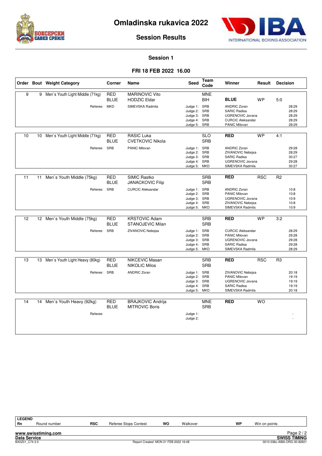



**Session Results**

#### **Session 1**

#### **FRI 18 FEB 2022 16.00**

|    |    | Order Bout Weight Category         | Corner                    | Name                                              | <b>Seed</b>                                                                  | Team<br>Code             | Winner                                                                                                             | Result     | <b>Decision</b> |                                           |
|----|----|------------------------------------|---------------------------|---------------------------------------------------|------------------------------------------------------------------------------|--------------------------|--------------------------------------------------------------------------------------------------------------------|------------|-----------------|-------------------------------------------|
| 9  |    | 9 Men's Youth Light Middle (71kg)  | <b>RED</b><br><b>BLUE</b> | <b>MARINOVIC Vito</b><br><b>HODZIC Eldar</b>      |                                                                              | <b>MNE</b><br><b>BIH</b> | <b>BLUE</b>                                                                                                        | <b>WP</b>  | 5:0             |                                           |
|    |    | Referee:                           | <b>MKD</b>                | SIMEVSKA Radmila                                  | Judge 1: SRB<br>Judge 2: SRB<br>Judge 3: SRB<br>Judge 4: SRB<br>Judge 5:     | SRB                      | <b>ANDRIC Zoran</b><br><b>SARIC Radisa</b><br><b>UGRENOVIC Jovana</b><br><b>CURCIC Aleksandar</b><br>PANIC Milovan |            |                 | 28:29<br>28:29<br>28:29<br>28:29<br>28:29 |
| 10 |    | 10 Men's Youth Light Middle (71kg) | <b>RED</b><br><b>BLUE</b> | <b>RASIC Luka</b><br><b>CVETKOVIC Nikola</b>      |                                                                              | <b>SLO</b><br><b>SRB</b> | <b>RED</b>                                                                                                         | <b>WP</b>  | 4:1             |                                           |
|    |    | Referee: SRB                       |                           | <b>PANIC Milovan</b>                              | Judge 1: SRB<br>Judge 2: SRB<br>Judge 3: SRB<br>Judge 4: SRB<br>Judge 5: MKD |                          | <b>ANDRIC Zoran</b><br>ZIVANOVIC Nebojsa<br><b>SARIC Radisa</b><br><b>UGRENOVIC Jovana</b><br>SIMEVSKA Radmila     |            |                 | 29:28<br>28:29<br>30:27<br>29:28<br>30:27 |
| 11 | 11 | Men's Youth Middle (75kg)          | <b>RED</b><br><b>BLUE</b> | <b>SIMIC Rastko</b><br><b>JANACKOVIC Filip</b>    |                                                                              | <b>SRB</b><br><b>SRB</b> | <b>RED</b>                                                                                                         | <b>RSC</b> | R <sub>2</sub>  |                                           |
|    |    | Referee: SRB                       |                           | <b>CURCIC Aleksandar</b>                          | Judge 1: SRB<br>Judge 2: SRB<br>Judge 3: SRB<br>Judge 4: SRB<br>Judge 5: MKD |                          | <b>ANDRIC Zoran</b><br><b>PANIC Milovan</b><br><b>UGRENOVIC Jovana</b><br>ZIVANOVIC Nebojsa<br>SIMEVSKA Radmila    |            |                 | 10:8<br>10:8<br>10:9<br>10:8<br>10:9      |
| 12 |    | 12 Men's Youth Middle (75kg)       | <b>RED</b><br><b>BLUE</b> | <b>KRSTOVIC Adam</b><br>STANOJEVIC Milan          |                                                                              | <b>SRB</b><br><b>SRB</b> | <b>RED</b>                                                                                                         | <b>WP</b>  | 3:2             |                                           |
|    |    | Referee: SRB                       |                           | ZIVANOVIC Nebojsa                                 | Judge 1: SRB<br>Judge 2: SRB<br>Judge 3: SRB<br>Judge 4: SRB<br>Judge 5: MKD |                          | <b>CURCIC Aleksandar</b><br>PANIC Milovan<br>UGRENOVIC Jovana<br><b>SARIC Radisa</b><br>SIMEVSKA Radmila           |            |                 | 28:29<br>29:28<br>29:28<br>29:28<br>28:29 |
| 13 |    | 13 Men's Youth Light Heavy (80kg)  | <b>RED</b><br><b>BLUE</b> | <b>NIKCEVIC Masan</b><br><b>NIKOLIC Milos</b>     |                                                                              | <b>SRB</b><br><b>SRB</b> | <b>RED</b>                                                                                                         | <b>RSC</b> | R <sub>3</sub>  |                                           |
|    |    | Referee: SRB                       |                           | <b>ANDRIC Zoran</b>                               | Judge 1: SRB<br>Judge 2: SRB<br>Judge 3: SRB<br>Judge 4:<br>Judge 5: MKD     | SRB                      | ZIVANOVIC Nebojsa<br><b>PANIC Milovan</b><br><b>UGRENOVIC Jovana</b><br><b>SARIC Radisa</b><br>SIMEVSKA Radmila    |            |                 | 20:18<br>19:19<br>19:19<br>19:19<br>20:18 |
| 14 | 14 | Men's Youth Heavy (92kg)           | <b>RED</b><br><b>BLUE</b> | <b>BRAJKOVIC Andrija</b><br><b>MITROVIC Boris</b> |                                                                              | <b>MNE</b><br><b>SRB</b> | <b>RED</b>                                                                                                         | <b>WO</b>  |                 |                                           |
|    |    | Referee:                           |                           |                                                   | Judge 1:<br>Judge 2:                                                         |                          |                                                                                                                    |            |                 |                                           |

| <b>LEGEND</b>       |                     |            |                                      |    |          |    |                             |  |
|---------------------|---------------------|------------|--------------------------------------|----|----------|----|-----------------------------|--|
| <b>Rn</b>           | Round number        | <b>RSC</b> | Referee Stops Contest                | wo | Walkover | WP | Win on points               |  |
|                     |                     |            |                                      |    |          |    |                             |  |
|                     | www.swisstiming.com |            |                                      |    |          |    | Page $2/2$                  |  |
| <b>Data Service</b> |                     |            |                                      |    |          |    | <b>SWISS TIMING</b>         |  |
| BX0Z01 C74 2.0      |                     |            | Report Created MON 21 FEB 2022 16:48 |    |          |    | 0010-036c-AIBA.ORG-30-82601 |  |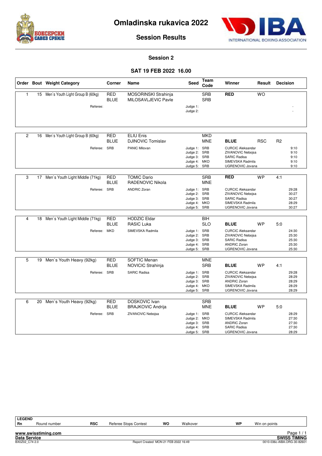



**Session Results**

#### **Session 2**

## **SAT 19 FEB 2022 16.00**

|                |    | Order Bout Weight Category          | Corner                    | Name                                          | <b>Seed</b>                  | Team<br>Code             | Winner                                      | Result     | <b>Decision</b> |                |
|----------------|----|-------------------------------------|---------------------------|-----------------------------------------------|------------------------------|--------------------------|---------------------------------------------|------------|-----------------|----------------|
| 1              |    | 15 Men's Youth Light Group B (60kg) | <b>RED</b><br><b>BLUE</b> | MOSORINSKI Strahinja<br>MILOSAVLJEVIC Pavle   |                              | <b>SRB</b><br><b>SRB</b> | <b>RED</b>                                  | <b>WO</b>  |                 |                |
|                |    | Referee:                            |                           |                                               | Judge 1:                     |                          |                                             |            |                 |                |
|                |    |                                     |                           |                                               | Judge 2:                     |                          |                                             |            |                 |                |
|                |    |                                     |                           |                                               |                              |                          |                                             |            |                 |                |
| $\overline{2}$ |    | 16 Men's Youth Light Group B (60kg) | <b>RED</b><br><b>BLUE</b> | <b>ELIU Enis</b><br><b>DJINOVIC Tomislav</b>  |                              | <b>MKD</b><br><b>MNE</b> | <b>BLUE</b>                                 | <b>RSC</b> | R <sub>2</sub>  |                |
|                |    | Referee: SRB                        |                           | PANIC Milovan                                 | Judge 1: SRB                 |                          | <b>CURCIC Aleksandar</b>                    |            |                 | 9:10           |
|                |    |                                     |                           |                                               | Judge 2: SRB                 |                          | ZIVANOVIC Nebojsa                           |            |                 | 9:10           |
|                |    |                                     |                           |                                               | Judge 3: SRB<br>Judge 4: MKD |                          | SARIC Radisa<br>SIMEVSKA Radmila            |            |                 | 9:10<br>9:10   |
|                |    |                                     |                           |                                               | Judge 5:                     | SRB                      | UGRENOVIC Jovana                            |            |                 | 9:10           |
|                |    |                                     |                           |                                               |                              |                          |                                             |            |                 |                |
| 3              |    | 17 Men's Youth Light Middle (71kg)  | RED<br><b>BLUE</b>        | <b>TOMIC Dario</b><br><b>RADENOVIC Nikola</b> |                              | <b>SRB</b><br><b>MNE</b> | <b>RED</b>                                  | <b>WP</b>  | 4:1             |                |
|                |    | Referee: SRB                        |                           | <b>ANDRIC Zoran</b>                           | Judge 1: SRB                 |                          | <b>CURCIC Aleksandar</b>                    |            |                 | 29:28          |
|                |    |                                     |                           |                                               | Judge 2:                     | SRB                      | ZIVANOVIC Nebojsa                           |            |                 | 30:27          |
|                |    |                                     |                           |                                               | Judge 3: SRB                 |                          | <b>SARIC Radisa</b>                         |            |                 | 30:27          |
|                |    |                                     |                           |                                               | Judge 4: MKD<br>Judge 5:     | SRB                      | SIMEVSKA Radmila<br><b>UGRENOVIC Jovana</b> |            |                 | 28:29<br>30:27 |
|                |    |                                     |                           |                                               |                              |                          |                                             |            |                 |                |
| 4              |    | 18 Men's Youth Light Middle (71kg)  | RED                       | <b>HODZIC Eldar</b>                           |                              | <b>BIH</b>               |                                             |            |                 |                |
|                |    |                                     | <b>BLUE</b>               | <b>RASIC Luka</b>                             |                              | <b>SLO</b>               | <b>BLUE</b>                                 | <b>WP</b>  | 5:0             |                |
|                |    | Referee: MKD                        |                           | SIMEVSKA Radmila                              | Judge 1: SRB                 |                          | <b>CURCIC Aleksandar</b>                    |            |                 | 24:30          |
|                |    |                                     |                           |                                               | Judge 2: SRB                 |                          | ZIVANOVIC Nebojsa                           |            |                 | 25:30          |
|                |    |                                     |                           |                                               | Judge 3: SRB<br>Judge 4:     | SRB                      | <b>SARIC Radisa</b><br><b>ANDRIC Zoran</b>  |            |                 | 25:30<br>25:30 |
|                |    |                                     |                           |                                               | Judge 5: SRB                 |                          | UGRENOVIC Jovana                            |            |                 | 25:30          |
|                |    |                                     |                           |                                               |                              |                          |                                             |            |                 |                |
| 5              |    | 19 Men's Youth Heavy (92kg)         | <b>RED</b>                | <b>SOFTIC Menan</b>                           |                              | <b>MNE</b>               |                                             |            |                 |                |
|                |    |                                     | <b>BLUE</b>               | NOVICIC Strahinja                             |                              | <b>SRB</b>               | <b>BLUE</b>                                 | <b>WP</b>  | 4:1             |                |
|                |    | Referee: SRB                        |                           | <b>SARIC Radisa</b>                           | Judge 1: SRB                 |                          | <b>CURCIC Aleksandar</b>                    |            |                 | 29:28          |
|                |    |                                     |                           |                                               | Judge 2:                     | SRB                      | ZIVANOVIC Nebojsa                           |            |                 | 28:29          |
|                |    |                                     |                           |                                               | Judge 3: SRB<br>Judge 4:     | <b>MKD</b>               | <b>ANDRIC Zoran</b><br>SIMEVSKA Radmila     |            |                 | 28:29<br>28:29 |
|                |    |                                     |                           |                                               | Judge 5: SRB                 |                          | <b>UGRENOVIC Jovana</b>                     |            |                 | 28:29          |
|                |    |                                     |                           |                                               |                              |                          |                                             |            |                 |                |
| 6              | 20 | Men's Youth Heavy (92kg)            | <b>RED</b>                | DOSKOVIC Ivan                                 |                              | <b>SRB</b>               |                                             |            |                 |                |
|                |    |                                     | <b>BLUE</b>               | <b>BRAJKOVIC Andrija</b>                      |                              | <b>MNE</b>               | <b>BLUE</b>                                 | <b>WP</b>  | 5:0             |                |
|                |    | Referee: SRB                        |                           | ZIVANOVIC Nebojsa                             | Judge 1: SRB                 |                          | <b>CURCIC Aleksandar</b>                    |            |                 | 28:29          |
|                |    |                                     |                           |                                               | Judge 2:                     | <b>MKD</b>               | SIMEVSKA Radmila                            |            |                 | 27:30          |
|                |    |                                     |                           |                                               | Judge 3:<br>Judge 4: SRB     | SRB                      | <b>ANDRIC Zoran</b><br><b>SARIC Radisa</b>  |            |                 | 27:30<br>27:30 |
|                |    |                                     |                           |                                               | Judge 5:                     | <b>SRB</b>               | <b>UGRENOVIC Jovana</b>                     |            |                 | 28:29          |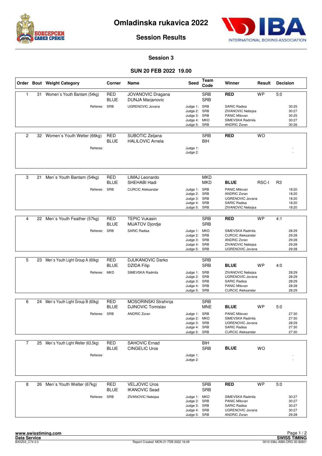



**Session Results**

#### **Session 3**

#### **SUN 20 FEB 2022 19.00**

|                |    | Order Bout Weight Category                       | Corner                    | Name                                            | <b>Seed</b>                                                                  | <b>Team</b><br>Code      | Winner                                                                                                                          | Result       | <b>Decision</b> |                                           |
|----------------|----|--------------------------------------------------|---------------------------|-------------------------------------------------|------------------------------------------------------------------------------|--------------------------|---------------------------------------------------------------------------------------------------------------------------------|--------------|-----------------|-------------------------------------------|
| $\mathbf{1}$   | 31 | Women's Youth Bantam (54kg)                      | <b>RED</b><br><b>BLUE</b> | JOVANOVIC Dragana<br><b>DUNJA Marjanovic</b>    |                                                                              | <b>SRB</b><br><b>SRB</b> | <b>RED</b>                                                                                                                      | <b>WP</b>    | 5:0             |                                           |
|                |    | Referee: SRB                                     |                           | <b>UGRENOVIC Jovana</b>                         | Judge 1: SRB<br>Judge 2: SRB<br>Judge 3: SRB<br>Judge 4: MKD<br>Judge 5: SRB |                          | <b>SARIC Radisa</b><br>ZIVANOVIC Nebojsa<br>PANIC Milovan<br>SIMEVSKA Radmila<br><b>ANDRIC Zoran</b>                            |              |                 | 30:25<br>30:27<br>30:25<br>30:27<br>30:26 |
| $\overline{c}$ |    | 32 Women's Youth Welter (66kg)<br>Referee:       | <b>RED</b><br><b>BLUE</b> | SUBOTIC Zeljana<br><b>HALILOVIC Arnela</b>      | Judge 1:<br>Judge 2:                                                         | <b>SRB</b><br>BIH        | <b>RED</b>                                                                                                                      | <b>WO</b>    |                 |                                           |
| 3              | 21 | Men's Youth Bantam (54kg)                        | <b>RED</b><br><b>BLUE</b> | LIMAJ Leonardo<br>SHEHABI Hadi                  |                                                                              | <b>MKD</b><br>MKD        | <b>BLUE</b>                                                                                                                     | <b>RSC-I</b> | R <sub>3</sub>  |                                           |
|                |    | Referee:                                         | SRB                       | <b>CURCIC Aleksandar</b>                        | Judge 1: SRB<br>Judge 2: SRB<br>Judge 3: SRB<br>Judge 4: SRB<br>Judge 5: SRB |                          | PANIC Milovan<br><b>ANDRIC Zoran</b><br><b>UGRENOVIC Jovana</b><br><b>SARIC Radisa</b><br>ZIVANOVIC Nebojsa                     |              |                 | 18:20<br>18:20<br>18:20<br>18:20<br>18:20 |
| 4              | 22 | Men's Youth Feather (57kg)                       | <b>RED</b>                | <b>TEPIC Vukasin</b>                            |                                                                              | <b>SRB</b>               | <b>RED</b>                                                                                                                      | <b>WP</b>    | 4:1             |                                           |
|                |    | Referee: SRB                                     | <b>BLUE</b>               | <b>MIJATOV Djordje</b><br><b>SARIC Radisa</b>   | Judge 1: MKD<br>Judge 2: SRB<br>Judge 3: SRB<br>Judge 4: SRB<br>Judge 5: SRB | <b>SRB</b>               | SIMEVSKA Radmila<br><b>CURCIC Aleksandar</b><br><b>ANDRIC Zoran</b><br>ZIVANOVIC Nebojsa<br>UGRENOVIC Jovana                    |              |                 | 28:29<br>29:28<br>29:28<br>29:28<br>29:28 |
| 5              | 23 | Men's Youth Light Group A (60kg)                 | <b>RED</b>                | <b>DJUKANOVIC Darko</b>                         |                                                                              | <b>SRB</b>               |                                                                                                                                 |              |                 |                                           |
|                |    | Referee: MKD                                     | <b>BLUE</b>               | <b>DZIDA Filip</b><br>SIMEVSKA Radmila          | Judge 1: SRB<br>Judge 2: SRB<br>Judge 3: SRB<br>Judge 4: SRB<br>Judge 5: SRB | <b>SRB</b>               | <b>BLUE</b><br>ZIVANOVIC Nebojsa<br><b>UGRENOVIC Jovana</b><br><b>SARIC Radisa</b><br>PANIC Milovan<br><b>CURCIC Aleksandar</b> | <b>WP</b>    | 4:0             | 28:29<br>28:29<br>28:29<br>28:28<br>28:29 |
| 6              | 24 | Men's Youth Light Group B (60kg)                 | <b>RED</b>                | MOSORINSKI Strahinja                            |                                                                              | <b>SRB</b>               |                                                                                                                                 |              |                 |                                           |
|                |    | Referee: SRB                                     | <b>BLUE</b>               | <b>DJINOVIC Tomislav</b><br><b>ANDRIC Zoran</b> | Judge 1: SRB<br>Judge 2: MKD<br>Judge 3: SRB<br>Judge 4: SRB<br>Judge 5: SRB | <b>MNE</b>               | <b>BLUE</b><br>PANIC Milovan<br>SIMEVSKA Radmila<br>UGRENOVIC Jovana<br><b>SARIC Radisa</b><br><b>CURCIC Aleksandar</b>         | <b>WP</b>    | 5:0             | 27:30<br>27:30<br>28:29<br>27:30<br>27:30 |
| $\overline{7}$ |    | 25 Men's Youth Light Welter (63.5kg)<br>Referee: | RED<br><b>BLUE</b>        | SAHOVIC Ernad<br><b>CINGELIC Uros</b>           | Judge 1:<br>Judge 2:                                                         | BIH<br><b>SRB</b>        | <b>BLUE</b>                                                                                                                     | <b>WO</b>    |                 |                                           |
|                |    |                                                  |                           |                                                 |                                                                              |                          |                                                                                                                                 |              |                 |                                           |
| 8              |    | 26 Men's Youth Welter (67kg)                     | <b>RED</b><br><b>BLUE</b> | <b>VELJOVIC Uros</b><br><b>IKANOVIC Sead</b>    |                                                                              | <b>SRB</b><br><b>SRB</b> | <b>RED</b>                                                                                                                      | <b>WP</b>    | 5:0             |                                           |
|                |    | Referee: SRB                                     |                           | ZIVANOVIC Nebojsa                               | Judge 1: MKD<br>Judge 2: SRB<br>Judge 3: SRB<br>Judge 4: SRB<br>Judge 5: SRB |                          | SIMEVSKA Radmila<br>PANIC Milovan<br>SARIC Radisa<br>UGRENOVIC Jovana<br><b>ANDRIC Zoran</b>                                    |              |                 | 30:27<br>30:27<br>30:27<br>30:27<br>29:28 |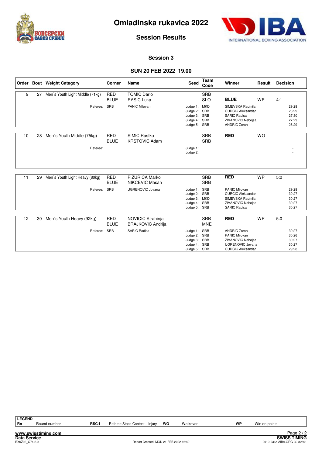



**Session Results**

#### **Session 3**

#### **SUN 20 FEB 2022 19.00**

|    |    | Order Bout Weight Category            | Corner                    | Name                                          | Seed                                                             | Team<br>Code                    | Winner                                                                                                                  | Result    | <b>Decision</b>                           |
|----|----|---------------------------------------|---------------------------|-----------------------------------------------|------------------------------------------------------------------|---------------------------------|-------------------------------------------------------------------------------------------------------------------------|-----------|-------------------------------------------|
| 9  | 27 | Men's Youth Light Middle (71kg)       | <b>RED</b><br><b>BLUE</b> | <b>TOMIC Dario</b><br><b>RASIC Luka</b>       |                                                                  | <b>SRB</b><br><b>SLO</b>        | <b>BLUE</b>                                                                                                             | <b>WP</b> | 4:1                                       |
|    |    | Referee:                              | SRB                       | PANIC Milovan                                 | Judge 1:<br>Judge 2:<br>Judge 3: SRB<br>Judge 4:<br>Judge 5:     | <b>MKD</b><br>SRB<br>SRB<br>SRB | SIMEVSKA Radmila<br><b>CURCIC Aleksandar</b><br><b>SARIC Radisa</b><br>ZIVANOVIC Nebojsa<br><b>ANDRIC Zoran</b>         |           | 29:28<br>28:29<br>27:30<br>27:29<br>28:29 |
| 10 | 28 | Men's Youth Middle (75kg)<br>Referee: | <b>RED</b><br><b>BLUE</b> | SIMIC Rastko<br><b>KRSTOVIC Adam</b>          | Judge 1:<br>Judge 2:                                             | <b>SRB</b><br><b>SRB</b>        | <b>RED</b>                                                                                                              | <b>WO</b> |                                           |
| 11 | 29 | Men's Youth Light Heavy (80kg)        | <b>RED</b><br><b>BLUE</b> | <b>PIZURICA Marko</b><br>NIKCEVIC Masan       |                                                                  | <b>SRB</b><br><b>SRB</b>        | <b>RED</b>                                                                                                              | <b>WP</b> | 5:0                                       |
|    |    | Referee:                              | SRB                       | <b>UGRENOVIC Jovana</b>                       | Judge 1:<br>Judge 2: SRB<br>Judge 3: MKD<br>Judge 4:<br>Judge 5: | SRB<br>SRB<br>SRB               | <b>PANIC Milovan</b><br><b>CURCIC Aleksandar</b><br>SIMEVSKA Radmila<br>ZIVANOVIC Nebojsa<br><b>SARIC Radisa</b>        |           | 29:28<br>30:27<br>30:27<br>30:27<br>30:27 |
| 12 | 30 | Men's Youth Heavy (92kg)              | <b>RED</b><br><b>BLUE</b> | NOVICIC Strahinja<br><b>BRAJKOVIC Andrija</b> |                                                                  | <b>SRB</b><br><b>MNE</b>        | <b>RED</b>                                                                                                              | <b>WP</b> | 5:0                                       |
|    |    | Referee:                              | SRB                       | <b>SARIC Radisa</b>                           | Judge 1:<br>Judge 2:<br>Judge 3:<br>Judge 4:<br>Judge 5:         | SRB<br>SRB<br>SRB<br>SRB<br>SRB | <b>ANDRIC Zoran</b><br><b>PANIC Milovan</b><br>ZIVANOVIC Nebojsa<br><b>UGRENOVIC Jovana</b><br><b>CURCIC Aleksandar</b> |           | 30:27<br>30:26<br>30:27<br>30:27<br>29:28 |

**www.swisstiming.com**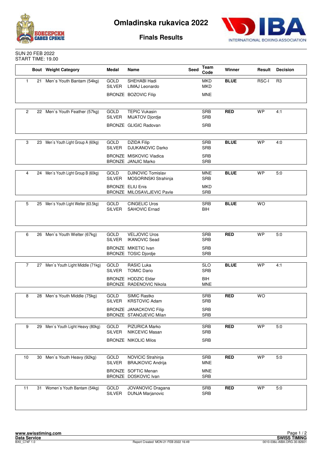



**Finals Results**

| <b>SUN 20 FEB 2022</b> |
|------------------------|
| START TIME: 19.00      |

|    |    | <b>Bout</b> Weight Category          | Medal                        | Name                                                         | Seed | Team<br>Code             | Winner      | Result    | <b>Decision</b> |
|----|----|--------------------------------------|------------------------------|--------------------------------------------------------------|------|--------------------------|-------------|-----------|-----------------|
| 1  | 21 | Men's Youth Bantam (54kg)            | <b>GOLD</b><br><b>SILVER</b> | SHEHABI Hadi<br>LIMAJ Leonardo                               |      | <b>MKD</b><br><b>MKD</b> | <b>BLUE</b> | RSC-I     | R <sub>3</sub>  |
|    |    |                                      |                              | <b>BRONZE BOZOVIC Filip</b>                                  |      | <b>MNE</b>               |             |           |                 |
|    |    |                                      |                              |                                                              |      |                          |             |           |                 |
| 2  |    | 22 Men's Youth Feather (57kg)        | GOLD<br><b>SILVER</b>        | <b>TEPIC Vukasin</b><br>MIJATOV Djordje                      |      | <b>SRB</b><br><b>SRB</b> | <b>RED</b>  | <b>WP</b> | 4:1             |
|    |    |                                      |                              | BRONZE GLIGIC Radovan                                        |      | <b>SRB</b>               |             |           |                 |
| 3  |    | 23 Men's Youth Light Group A (60kg)  | GOLD                         | <b>DZIDA Filip</b>                                           |      | <b>SRB</b>               | <b>BLUE</b> | <b>WP</b> | 4:0             |
|    |    |                                      | <b>SILVER</b>                | <b>DJUKANOVIC Darko</b>                                      |      | <b>SRB</b>               |             |           |                 |
|    |    |                                      |                              | <b>BRONZE MISKOVIC Vladica</b><br><b>BRONZE JANJIC Marko</b> |      | <b>SRB</b><br><b>SRB</b> |             |           |                 |
| 4  |    | 24 Men's Youth Light Group B (60kg)  | GOLD<br><b>SILVER</b>        | <b>DJINOVIC Tomislav</b><br>MOSORINSKI Strahinja             |      | <b>MNE</b><br><b>SRB</b> | <b>BLUE</b> | <b>WP</b> | 5:0             |
|    |    |                                      |                              | <b>BRONZE ELIU Enis</b>                                      |      | <b>MKD</b>               |             |           |                 |
|    |    |                                      |                              | BRONZE MILOSAVLJEVIC Pavle                                   |      | <b>SRB</b>               |             |           |                 |
| 5  |    | 25 Men's Youth Light Welter (63.5kg) | <b>GOLD</b>                  | <b>CINGELIC Uros</b>                                         |      | <b>SRB</b>               | <b>BLUE</b> | <b>WO</b> |                 |
|    |    |                                      | <b>SILVER</b>                | SAHOVIC Ernad                                                |      | <b>BIH</b>               |             |           |                 |
|    |    |                                      |                              |                                                              |      |                          |             |           |                 |
|    |    |                                      |                              |                                                              |      |                          |             |           |                 |
| 6  |    | 26 Men's Youth Welter (67kg)         | GOLD                         | <b>VELJOVIC Uros</b>                                         |      | <b>SRB</b>               | <b>RED</b>  | <b>WP</b> | 5:0             |
|    |    |                                      | <b>SILVER</b>                | <b>IKANOVIC Sead</b><br><b>BRONZE MIKETIC Ivan</b>           |      | <b>SRB</b><br><b>SRB</b> |             |           |                 |
|    |    |                                      |                              | BRONZE TOSIC Djordje                                         |      | <b>SRB</b>               |             |           |                 |
| 7  |    | 27 Men's Youth Light Middle (71kg)   | GOLD                         | <b>RASIC Luka</b>                                            |      | <b>SLO</b>               | <b>BLUE</b> | <b>WP</b> | 4:1             |
|    |    |                                      | <b>SILVER</b>                | <b>TOMIC Dario</b>                                           |      | <b>SRB</b>               |             |           |                 |
|    |    |                                      |                              | <b>BRONZE HODZIC Eldar</b><br>BRONZE RADENOVIC Nikola        |      | <b>BIH</b><br><b>MNE</b> |             |           |                 |
|    |    |                                      |                              |                                                              |      |                          |             |           |                 |
| 8  | 28 | Men's Youth Middle (75kg)            | <b>GOLD</b><br><b>SILVER</b> | SIMIC Rastko<br><b>KRSTOVIC Adam</b>                         |      | <b>SRB</b><br><b>SRB</b> | <b>RED</b>  | <b>WO</b> |                 |
|    |    |                                      |                              | BRONZE JANACKOVIC Filip                                      |      | <b>SRB</b>               |             |           |                 |
|    |    |                                      |                              | BRONZE STANOJEVIC Milan                                      |      | <b>SRB</b>               |             |           |                 |
| 9  | 29 | Men's Youth Light Heavy (80kg)       | GOLD                         | PIZURICA Marko                                               |      | SRB                      | <b>RED</b>  | <b>WP</b> | 5:0             |
|    |    |                                      | <b>SILVER</b>                | NIKCEVIC Masan                                               |      | <b>SRB</b>               |             |           |                 |
|    |    |                                      |                              | <b>BRONZE NIKOLIC Milos</b>                                  |      | SRB                      |             |           |                 |
|    |    |                                      |                              |                                                              |      |                          |             |           |                 |
| 10 | 30 | Men's Youth Heavy (92kg)             | GOLD<br><b>SILVER</b>        | NOVICIC Strahinja<br><b>BRAJKOVIC Andrija</b>                |      | <b>SRB</b><br><b>MNE</b> | <b>RED</b>  | <b>WP</b> | 5:0             |
|    |    |                                      |                              | <b>BRONZE SOFTIC Menan</b><br>BRONZE DOSKOVIC Ivan           |      | <b>MNE</b><br>SRB        |             |           |                 |
|    |    |                                      |                              |                                                              |      |                          |             |           |                 |
| 11 | 31 | Women's Youth Bantam (54kg)          | GOLD<br><b>SILVER</b>        | JOVANOVIC Dragana<br><b>DUNJA Marjanovic</b>                 |      | SRB<br>SRB               | <b>RED</b>  | <b>WP</b> | 5:0             |
|    |    |                                      |                              |                                                              |      |                          |             |           |                 |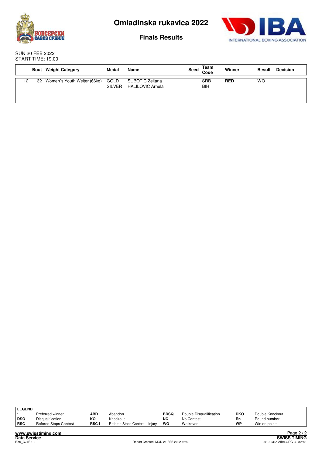



**Finals Results**

SUN 20 FEB 2022 START TIME: 19.00

|    | <b>Bout</b> Weight Category    | Medal                 | Name                                       | Seed | Team<br>Code      | Winner     | Result | <b>Decision</b> |
|----|--------------------------------|-----------------------|--------------------------------------------|------|-------------------|------------|--------|-----------------|
| 12 | 32 Women's Youth Welter (66kg) | GOLD<br><b>SILVER</b> | SUBOTIC Zeljana<br><b>HALILOVIC Arnela</b> |      | <b>SRB</b><br>BIH | <b>RED</b> | WO     |                 |

| LEGEND |                       |              |                                |             |                         |            |                 |
|--------|-----------------------|--------------|--------------------------------|-------------|-------------------------|------------|-----------------|
|        | Preferred winner      | ABD          | Abandon                        | <b>BDSQ</b> | Double Disqualification | <b>DKO</b> | Double Knockout |
| ∣ DSQ  | Disqualification      | KΟ           | Knockout                       | <b>NC</b>   | No Contest              | Rn         | Round number    |
| RSC    | Referee Stops Contest | <b>RSC-I</b> | Referee Stops Contest - Injury | WO          | Walkover                | WP         | Win on points   |
|        |                       |              |                                |             |                         |            |                 |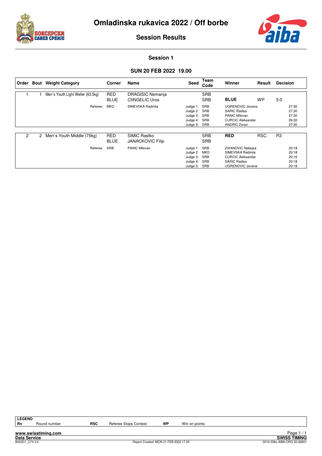



**Session Results**

#### **Session 1**

## **SUN 20 FEB 2022 19.00**

| Order | Bout           | <b>Weight Category</b>            | Corner                    | Name                                             | Seed                                                                 | Team<br>Code                    | Winner                                                                                                                     | Result     | <b>Decision</b> |                                           |
|-------|----------------|-----------------------------------|---------------------------|--------------------------------------------------|----------------------------------------------------------------------|---------------------------------|----------------------------------------------------------------------------------------------------------------------------|------------|-----------------|-------------------------------------------|
|       |                | Men's Youth Light Welter (63.5kg) | <b>RED</b><br><b>BLUE</b> | <b>DRAGISIC Nemanja</b><br><b>CIINGELIC Uros</b> |                                                                      | <b>SRB</b><br><b>SRB</b>        | <b>BLUE</b>                                                                                                                | <b>WP</b>  | 5:0             |                                           |
|       |                | Referee:                          | <b>MKD</b>                | SIMEVSKA Radmila                                 | Judge 1: SRB<br>Judge 2: SRB<br>Judge 3: SRB<br>Judge 4:<br>Judge 5: | SRB<br>SRB                      | <b>UGRENOVIC Jovana</b><br><b>SARIC Radisa</b><br><b>PANIC Milovan</b><br><b>CURCIC Aleksandar</b><br>ANDRIC Zoran         |            |                 | 27:30<br>27:30<br>27:30<br>26:30<br>27:30 |
| 2     | $\overline{2}$ | Men's Youth Middle (75kg)         | <b>RED</b><br><b>BLUE</b> | SIMIC Rastko<br><b>JANACKOVIC Filip</b>          |                                                                      | <b>SRB</b><br><b>SRB</b>        | <b>RED</b>                                                                                                                 | <b>RSC</b> | R <sub>3</sub>  |                                           |
|       |                | Referee:                          | <b>SRB</b>                | <b>PANIC Milovan</b>                             | Judge 1: SRB<br>Judge 2:<br>Judge 3:<br>Judge 4:<br>Judge 5:         | <b>MKD</b><br>SRB<br>SRB<br>SRB | <b>ZIVANOVIC Nebojsa</b><br>SIMEVSKA Radmila<br><b>CURCIC Aleksandar</b><br><b>SARIC Radisa</b><br><b>UGRENOVIC Jovana</b> |            |                 | 20:18<br>20:18<br>20:16<br>20:18<br>20:18 |

Round number **RSC** Referee Stops Contest **WP** Win on points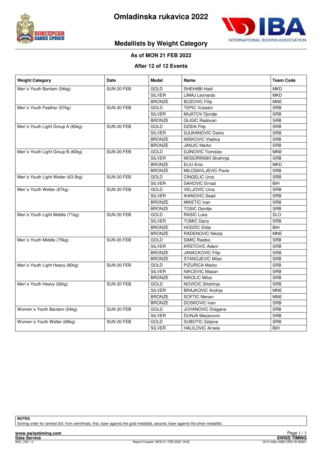



## **Medallists by Weight Category**

#### **As of MON 21 FEB 2022**

#### **After 12 of 12 Events**

| <b>Weight Category</b>            | Date       | <b>Medal</b>  | <b>Name</b>                 | <b>Team Code</b> |
|-----------------------------------|------------|---------------|-----------------------------|------------------|
| Men's Youth Bantam (54kg)         | SUN 20 FEB | GOLD          | SHEHABI Hadi                | <b>MKD</b>       |
|                                   |            | <b>SILVER</b> | LIMAJ Leonardo              | <b>MKD</b>       |
|                                   |            | <b>BRONZE</b> | <b>BOZOVIC Filip</b>        | <b>MNE</b>       |
| Men's Youth Feather (57kg)        | SUN 20 FEB | GOLD          | <b>TEPIC Vukasin</b>        | <b>SRB</b>       |
|                                   |            | <b>SILVER</b> | <b>MIJATOV Djordje</b>      | <b>SRB</b>       |
|                                   |            | <b>BRONZE</b> | <b>GLIGIC Radovan</b>       | <b>SRB</b>       |
| Men's Youth Light Group A (60kg)  | SUN 20 FEB | GOLD          | <b>DZIDA Filip</b>          | <b>SRB</b>       |
|                                   |            | <b>SILVER</b> | <b>DJUKANOVIC Darko</b>     | <b>SRB</b>       |
|                                   |            | <b>BRONZE</b> | MISKOVIC Vladica            | <b>SRB</b>       |
|                                   |            | <b>BRONZE</b> | <b>JANJIC Marko</b>         | <b>SRB</b>       |
| Men's Youth Light Group B (60kg)  | SUN 20 FEB | <b>GOLD</b>   | <b>DJINOVIC Tomislav</b>    | <b>MNE</b>       |
|                                   |            | <b>SILVER</b> | <b>MOSORINSKI Strahinja</b> | <b>SRB</b>       |
|                                   |            | <b>BRONZE</b> | <b>ELIU Enis</b>            | <b>MKD</b>       |
|                                   |            | <b>BRONZE</b> | MILOSAVLJEVIC Pavle         | <b>SRB</b>       |
| Men's Youth Light Welter (63.5kg) | SUN 20 FEB | <b>GOLD</b>   | <b>CINGELIC Uros</b>        | <b>SRB</b>       |
|                                   |            | <b>SILVER</b> | SAHOVIC Ernad               | <b>BIH</b>       |
| Men's Youth Welter (67kg)         | SUN 20 FEB | <b>GOLD</b>   | <b>VELJOVIC Uros</b>        | <b>SRB</b>       |
|                                   |            | <b>SILVER</b> | <b>IKANOVIC Sead</b>        | <b>SRB</b>       |
|                                   |            | <b>BRONZE</b> | MIKETIC Ivan                | <b>SRB</b>       |
|                                   |            | <b>BRONZE</b> | <b>TOSIC Djordje</b>        | <b>SRB</b>       |
| Men's Youth Light Middle (71kg)   | SUN 20 FEB | <b>GOLD</b>   | RASIC Luka                  | <b>SLO</b>       |
|                                   |            | <b>SILVER</b> | <b>TOMIC Dario</b>          | <b>SRB</b>       |
|                                   |            | <b>BRONZE</b> | <b>HODZIC Eldar</b>         | <b>BIH</b>       |
|                                   |            | <b>BRONZE</b> | RADENOVIC Nikola            | <b>MNE</b>       |
| Men's Youth Middle (75kg)         | SUN 20 FEB | GOLD          | SIMIC Rastko                | <b>SRB</b>       |
|                                   |            | SILVER        | <b>KRSTOVIC Adam</b>        | <b>SRB</b>       |
|                                   |            | <b>BRONZE</b> | <b>JANACKOVIC Filip</b>     | <b>SRB</b>       |
|                                   |            | <b>BRONZE</b> | STANOJEVIC Milan            | <b>SRB</b>       |
| Men's Youth Light Heavy (80kg)    | SUN 20 FEB | <b>GOLD</b>   | PIZURICA Marko              | <b>SRB</b>       |
|                                   |            | <b>SILVER</b> | NIKCEVIC Masan              | <b>SRB</b>       |
|                                   |            | <b>BRONZE</b> | <b>NIKOLIC Milos</b>        | <b>SRB</b>       |
| Men's Youth Heavy (92kg)          | SUN 20 FEB | GOLD          | NOVICIC Strahinja           | <b>SRB</b>       |
|                                   |            | <b>SILVER</b> | <b>BRAJKOVIC Andrija</b>    | <b>MNE</b>       |
|                                   |            | <b>BRONZE</b> | SOFTIC Menan                | <b>MNE</b>       |
|                                   |            | <b>BRONZE</b> | DOSKOVIC Ivan               | <b>SRB</b>       |
| Women's Youth Bantam (54kg)       | SUN 20 FEB | <b>GOLD</b>   | JOVANOVIC Dragana           | <b>SRB</b>       |
|                                   |            | <b>SILVER</b> | <b>DUNJA Marjanovic</b>     | <b>SRB</b>       |
| Women's Youth Welter (66kg)       | SUN 20 FEB | GOLD          | SUBOTIC Zeljana             | <b>SRB</b>       |
|                                   |            | <b>SILVER</b> | <b>HALILOVIC Arnela</b>     | <b>BIH</b>       |

**NOTES**

Sorting order for ranked 3rd: from semifinals, first, loser against the gold medallist, second, loser against the silver medallist.

**www.swisstiming.com**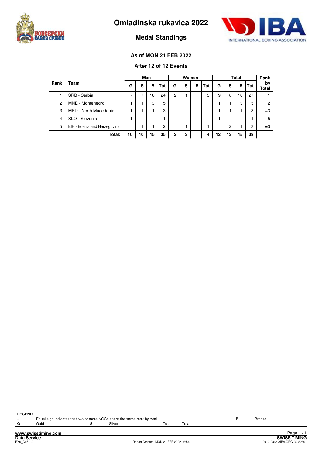



**Medal Standings**

## **As of MON 21 FEB 2022**

## **After 12 of 12 Events**

|      |                              | Men |    |    | Women |             |              | <b>Total</b> |     |    |    | Rank |     |             |
|------|------------------------------|-----|----|----|-------|-------------|--------------|--------------|-----|----|----|------|-----|-------------|
| Rank | Team                         | G   | s  | в  | Tot   | G           | s            | в            | Tot | G  | s  | в    | Tot | bv<br>Total |
|      | SRB - Serbia                 | 7   | -  | 10 | 24    | 2           |              |              | 3   | 9  | 8  | 10   | 27  |             |
| 2    | MNE - Montenegro             |     |    | 3  | 5     |             |              |              |     |    |    | 3    | 5   | 2           |
| 3    | MKD - North Macedonia        |     |    |    | 3     |             |              |              |     |    |    |      | 3   | $=3$        |
| 4    | SLO - Slovenia               |     |    |    |       |             |              |              |     |    |    |      |     | 5           |
| 5    | BIH - Bosnia and Herzegovina |     |    |    | 2     |             |              |              |     |    | 2  |      | 3   | $=3$        |
|      | Total:                       | 10  | 10 | 15 | 35    | $\mathbf 2$ | $\mathbf{2}$ |              | 4   | 12 | 12 | 15   | 39  |             |

| <b>LEGEND</b>                                       |      |  | Equal sign indicates that two or more NOCs share the same rank by total |     |       |                             | Bronze |                     |  |  |
|-----------------------------------------------------|------|--|-------------------------------------------------------------------------|-----|-------|-----------------------------|--------|---------------------|--|--|
| G                                                   | Gold |  | Silver                                                                  | Tot | Total |                             |        |                     |  |  |
| Page $1/1$<br>www.swisstiming.com                   |      |  |                                                                         |     |       |                             |        |                     |  |  |
| <b>Data Service</b>                                 |      |  |                                                                         |     |       |                             |        | <b>SWISS TIMING</b> |  |  |
| Report Created MON 21 FEB 2022 16:54<br>BX0 C95 1.0 |      |  |                                                                         |     |       | 0010-036c-AIBA.ORG-30-82601 |        |                     |  |  |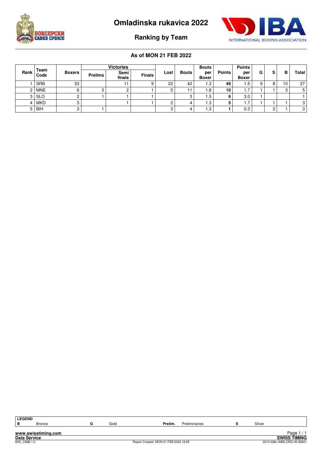





## **Ranking by Team**

|                |              |               | <b>Victories</b> |                |               |      |       | <b>Bouts</b>        |               | <b>Points</b>       |    |   |    |       |
|----------------|--------------|---------------|------------------|----------------|---------------|------|-------|---------------------|---------------|---------------------|----|---|----|-------|
| Rank           | Team<br>Code | <b>Boxers</b> | <b>Prelims</b>   | Semi<br>finals | <b>Finals</b> | Lost | Bouts | per<br><b>Boxer</b> | <b>Points</b> | per<br><b>Boxer</b> | G. | s | в  | Total |
|                | <b>SRB</b>   | 33            |                  | 11             | a             | 22   | 42    | 1.3                 | 49            | ا 5.                |    |   | 10 | 27    |
|                | 2   MNE      |               |                  |                |               | 5    |       | 1.8                 | 10            | 1.7                 |    |   | ت  | 5     |
|                | $3$ SLO      |               |                  |                |               |      |       | ۱.5                 |               | 3.0                 |    |   |    |       |
|                | 4   MKD      |               |                  |                |               | ◠    |       | 1.3                 |               | 1.7                 |    |   |    | 3     |
| 5 <sup>1</sup> | <b>BIH</b>   |               |                  |                |               | C    |       | 1.3                 |               | 0.3                 |    |   |    | 3     |

| ∣ LEGEND            |                     |      |                                      |               |        |                             |
|---------------------|---------------------|------|--------------------------------------|---------------|--------|-----------------------------|
| ΙB.                 | <b>Bronze</b>       | Gold | Prelim.                              | Preliminaries | Silver |                             |
|                     |                     |      |                                      |               |        |                             |
|                     | www.swisstiming.com |      |                                      |               |        | Page $1/1$                  |
| <b>Data Service</b> |                     |      |                                      |               |        | <b>SWISS TIMING</b>         |
| BX0 C96B 1.0        |                     |      | Report Created MON 21 FEB 2022 16:55 |               |        | 0010-036c-AIBA.ORG-30-82601 |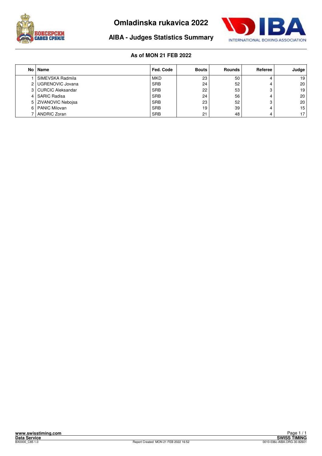



## **AIBA - Judges Statistics Summary**

| No l | Name                     | Fed. Code  | <b>Bouts</b> | <b>Rounds</b> | Referee | Judge           |
|------|--------------------------|------------|--------------|---------------|---------|-----------------|
|      | SIMEVSKA Radmila         | <b>MKD</b> | 23           | 50            | 4       | 19              |
| 2    | UGRENOVIC Jovana         | <b>SRB</b> | 24           | 52            | 4       | 20 <sup>1</sup> |
| 3    | <b>CURCIC Aleksandar</b> | <b>SRB</b> | 22           | 53            | o<br>د، | 19              |
| 4    | <b>SARIC Radisa</b>      | <b>SRB</b> | 24           | 56            | 4       | 20 <sup>1</sup> |
| 5    | I ZIVANOVIC Nebojsa      | <b>SRB</b> | 23           | 52            | ິ<br>ت  | 20 <sup>1</sup> |
| 6    | <b>PANIC Milovan</b>     | <b>SRB</b> | 19           | 39            | 4       | 15 <sup>1</sup> |
|      | <b>ANDRIC Zoran</b>      | <b>SRB</b> | 21           | 48            | 4       | 17 <sub>1</sub> |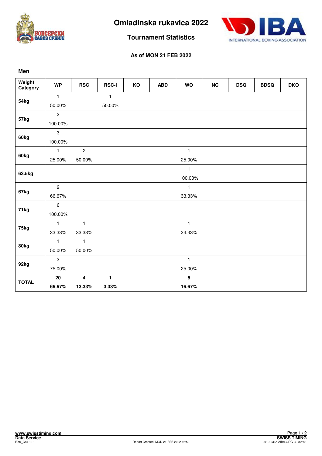



**Tournament Statistics**

| Men                |                |                         |              |    |            |                 |           |            |             |            |
|--------------------|----------------|-------------------------|--------------|----|------------|-----------------|-----------|------------|-------------|------------|
| Weight<br>Category | <b>WP</b>      | <b>RSC</b>              | <b>RSC-I</b> | KO | <b>ABD</b> | <b>WO</b>       | <b>NC</b> | <b>DSQ</b> | <b>BDSQ</b> | <b>DKO</b> |
| 54 <sub>kg</sub>   | $\mathbf{1}$   |                         | $\mathbf{1}$ |    |            |                 |           |            |             |            |
|                    | 50.00%         |                         | 50.00%       |    |            |                 |           |            |             |            |
|                    | $\overline{c}$ |                         |              |    |            |                 |           |            |             |            |
| 57kg               | 100.00%        |                         |              |    |            |                 |           |            |             |            |
|                    | $\mathbf{3}$   |                         |              |    |            |                 |           |            |             |            |
| 60kg               | 100.00%        |                         |              |    |            |                 |           |            |             |            |
|                    | $\mathbf{1}$   | $\overline{c}$          |              |    |            | $\mathbf{1}$    |           |            |             |            |
| 60kg               | 25.00%         | 50.00%                  |              |    |            | 25.00%          |           |            |             |            |
| 63.5kg             |                |                         |              |    |            | $\mathbf{1}$    |           |            |             |            |
|                    |                |                         |              |    |            | 100.00%         |           |            |             |            |
| 67kg               | $\overline{c}$ |                         |              |    |            | $\mathbf{1}$    |           |            |             |            |
|                    | 66.67%         |                         |              |    |            | 33.33%          |           |            |             |            |
| 71kg               | $\,6\,$        |                         |              |    |            |                 |           |            |             |            |
|                    | 100.00%        |                         |              |    |            |                 |           |            |             |            |
| 75kg               | $\mathbf{1}$   | $\mathbf{1}$            |              |    |            | $\mathbf{1}$    |           |            |             |            |
|                    | 33.33%         | 33.33%                  |              |    |            | 33.33%          |           |            |             |            |
| 80kg               | $\mathbf{1}$   | $\mathbf{1}$            |              |    |            |                 |           |            |             |            |
|                    | 50.00%         | 50.00%                  |              |    |            |                 |           |            |             |            |
|                    | $\mathbf{3}$   |                         |              |    |            | $\mathbf{1}$    |           |            |             |            |
| 92kg               | 75.00%         |                         |              |    |            | 25.00%          |           |            |             |            |
|                    | 20             | $\overline{\mathbf{4}}$ | $\mathbf{1}$ |    |            | $5\phantom{.0}$ |           |            |             |            |
| <b>TOTAL</b>       | 66.67%         | 13.33%                  | 3.33%        |    |            | 16.67%          |           |            |             |            |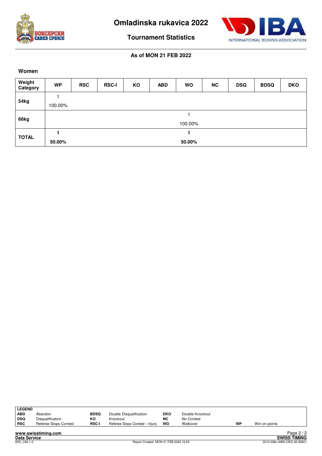



**Tournament Statistics**

**As of MON 21 FEB 2022**

#### **Women**

| Weight<br>Category | <b>WP</b>        | <b>RSC</b> | <b>RSC-I</b> | KO | <b>ABD</b> | <b>WO</b> | <b>NC</b> | <b>DSQ</b> | <b>BDSQ</b> | <b>DKO</b> |
|--------------------|------------------|------------|--------------|----|------------|-----------|-----------|------------|-------------|------------|
|                    |                  |            |              |    |            |           |           |            |             |            |
| 54kg               | 100.00%          |            |              |    |            |           |           |            |             |            |
|                    |                  |            |              |    |            |           |           |            |             |            |
| 66kg               | 100.00%          |            |              |    |            |           |           |            |             |            |
| <b>TOTAL</b>       |                  |            |              |    |            |           |           |            |             |            |
|                    | 50.00%<br>50.00% |            |              |    |            |           |           |            |             |            |

| <b>LEGEND</b> |                       |              |                                |            |                 |    |               |
|---------------|-----------------------|--------------|--------------------------------|------------|-----------------|----|---------------|
| <b>ABD</b>    | Abandon               | <b>BDSQ</b>  | Double Disqualification        | <b>DKO</b> | Double Knockout |    |               |
| DSQ           | Disqualification      | КO           | Knockout                       | <b>NC</b>  | No Contest      |    |               |
| ∣ RSC         | Referee Stops Contest | <b>RSC-I</b> | Referee Stops Contest - Injury | wo         | Walkover        | WP | Win on points |
|               |                       |              |                                |            |                 |    |               |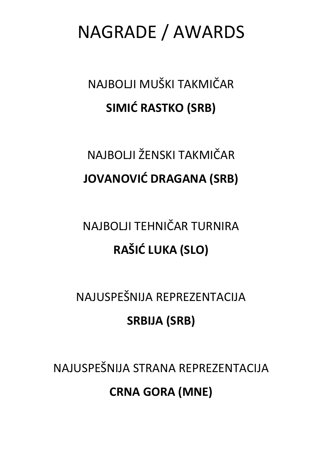NAGRADE / AWARDS

NAJBOLJI MUŠKI TAKMIČAR **SIMIĆ RASTKO (SRB)** 

## NAJBOLJI ŽENSKI TAKMIČAR **JOVANOVIĆ DRAGANA (SRB)**

## NAJBOLJI TEHNIČAR TURNIRA **RAŠIĆ LUKA (SLO)**

NAJUSPEŠNIJA REPREZENTACIJA

## **SRBIJA (SRB)**

NAJUSPEŠNIJA STRANA REPREZENTACIJA **CRNA GORA (MNE)**